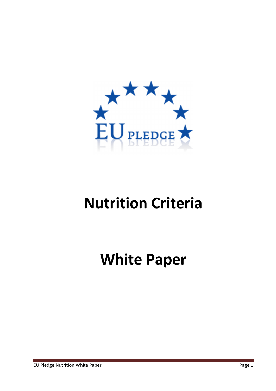

# Nutrition Criteria

White Paper

EU Pledge Nutrition White Paper **Page 1** and the Page 1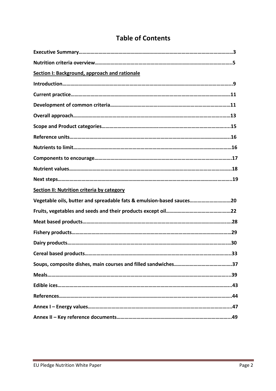# Table of Contents

| Section I: Background, approach and rationale                        |
|----------------------------------------------------------------------|
|                                                                      |
|                                                                      |
|                                                                      |
|                                                                      |
|                                                                      |
|                                                                      |
|                                                                      |
|                                                                      |
|                                                                      |
|                                                                      |
|                                                                      |
| <b>Section II: Nutrition criteria by category</b>                    |
| Vegetable oils, butter and spreadable fats & emulsion-based sauces20 |
|                                                                      |
|                                                                      |
|                                                                      |
|                                                                      |
|                                                                      |
|                                                                      |
|                                                                      |
|                                                                      |
|                                                                      |
|                                                                      |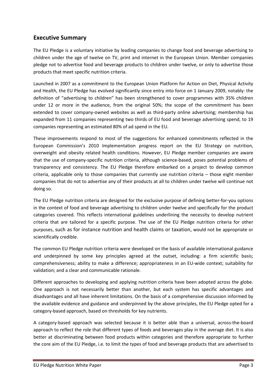## Executive Summary

The EU Pledge is a voluntary initiative by leading companies to change food and beverage advertising to children under the age of twelve on TV, print and internet in the European Union. Member companies pledge not to advertise food and beverage products to children under twelve, or only to advertise those products that meet specific nutrition criteria.

Launched in 2007 as a commitment to the European Union Platform for Action on Diet, Physical Activity and Health, the EU Pledge has evolved significantly since entry into force on 1 January 2009, notably: the definition of "advertising to children" has been strengthened to cover programmes with 35% children under 12 or more in the audience, from the original 50%; the scope of the commitment has been extended to cover company-owned websites as well as third-party online advertising; membership has expanded from 11 companies representing two thirds of EU food and beverage advertising spend, to 19 companies representing an estimated 80% of ad spend in the EU.

These improvements respond to most of the suggestions for enhanced commitments reflected in the European Commission's 2010 Implementation progress report on the EU Strategy on nutrition, overweight and obesity related health conditions. However, EU Pledge member companies are aware that the use of company-specific nutrition criteria, although science-based, poses potential problems of transparency and consistency. The EU Pledge therefore embarked on a project to develop common criteria, applicable only to those companies that currently use nutrition criteria – those eight member companies that do not to advertise any of their products at all to children under twelve will continue not doing so.

The EU Pledge nutrition criteria are designed for the exclusive purpose of defining better-for-you options in the context of food and beverage advertising to children under twelve and specifically for the product categories covered. This reflects international guidelines underlining the necessity to develop nutrient criteria that are tailored for a specific purpose. The use of the EU Pledge nutrition criteria for other purposes, such as for instance nutrition and health claims or taxation, would not be appropriate or scientifically credible.

The common EU Pledge nutrition criteria were developed on the basis of available international guidance and underpinned by some key principles agreed at the outset, including: a firm scientific basis; comprehensiveness; ability to make a difference; appropriateness in an EU-wide context; suitability for validation; and a clear and communicable rationale.

Different approaches to developing and applying nutrition criteria have been adopted across the globe. One approach is not necessarily better than another, but each system has specific advantages and disadvantages and all have inherent limitations. On the basis of a comprehensive discussion informed by the available evidence and guidance and underpinned by the above principles, the EU Pledge opted for a category-based approach, based on thresholds for key nutrients.

A category-based approach was selected because it is better able than a universal, across-the-board approach to reflect the role that different types of foods and beverages play in the average diet. It is also better at discriminating between food products within categories and therefore appropriate to further the core aim of the EU Pledge, i.e. to limit the types of food and beverage products that are advertised to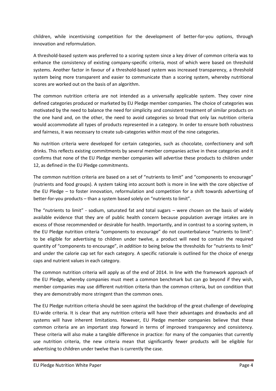children, while incentivising competition for the development of better-for-you options, through innovation and reformulation.

A threshold-based system was preferred to a scoring system since a key driver of common criteria was to enhance the consistency of existing company-specific criteria, most of which were based on threshold systems. Another factor in favour of a threshold-based system was increased transparency, a threshold system being more transparent and easier to communicate than a scoring system, whereby nutritional scores are worked out on the basis of an algorithm.

The common nutrition criteria are not intended as a universally applicable system. They cover nine defined categories produced or marketed by EU Pledge member companies. The choice of categories was motivated by the need to balance the need for simplicity and consistent treatment of similar products on the one hand and, on the other, the need to avoid categories so broad that only lax nutrition criteria would accommodate all types of products represented in a category. In order to ensure both robustness and fairness, it was necessary to create sub-categories within most of the nine categories.

No nutrition criteria were developed for certain categories, such as chocolate, confectionery and soft drinks. This reflects existing commitments by several member companies active in these categories and it confirms that none of the EU Pledge member companies will advertise these products to children under 12, as defined in the EU Pledge commitments.

The common nutrition criteria are based on a set of "nutrients to limit" and "components to encourage" (nutrients and food groups). A system taking into account both is more in line with the core objective of the EU Pledge – to foster innovation, reformulation and competition for a shift towards advertising of better-for-you products – than a system based solely on "nutrients to limit".

The "nutrients to limit" - sodium, saturated fat and total sugars – were chosen on the basis of widely available evidence that they are of public health concern because population average intakes are in excess of those recommended or desirable for health. Importantly, and in contrast to a scoring system, in the EU Pledge nutrition criteria "components to encourage" do not counterbalance "nutrients to limit": to be eligible for advertising to children under twelve, a product will need to contain the required quantity of "components to encourage", in addition to being below the thresholds for "nutrients to limit" and under the calorie cap set for each category. A specific rationale is outlined for the choice of energy caps and nutrient values in each category.

The common nutrition criteria will apply as of the end of 2014. In line with the framework approach of the EU Pledge, whereby companies must meet a common benchmark but can go beyond if they wish, member companies may use different nutrition criteria than the common criteria, but on condition that they are demonstrably more stringent than the common ones.

The EU Pledge nutrition criteria should be seen against the backdrop of the great challenge of developing EU-wide criteria. It is clear that any nutrition criteria will have their advantages and drawbacks and all systems will have inherent limitations. However, EU Pledge member companies believe that these common criteria are an important step forward in terms of improved transparency and consistency. These criteria will also make a tangible difference in practice: for many of the companies that currently use nutrition criteria, the new criteria mean that significantly fewer products will be eligible for advertising to children under twelve than is currently the case.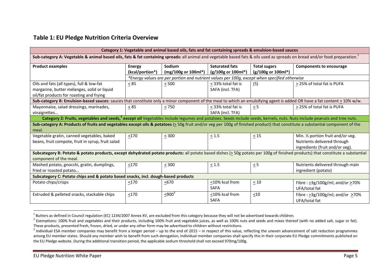## Table 1: EU Pledge Nutrition Criteria Overview

| Category 1: Vegetable and animal based oils, fats and fat containing spreads & emulsion-based sauces                                                                                    |                 |                                                                                              |                                  |                                |                                              |  |  |  |
|-----------------------------------------------------------------------------------------------------------------------------------------------------------------------------------------|-----------------|----------------------------------------------------------------------------------------------|----------------------------------|--------------------------------|----------------------------------------------|--|--|--|
| Sub-category A: Vegetable & animal based oils, fats & fat containing spreads: all animal and vegetable based fats & oils used as spreads on bread and/or food preparation. <sup>1</sup> |                 |                                                                                              |                                  |                                |                                              |  |  |  |
| <b>Product examples</b>                                                                                                                                                                 | <b>Energy</b>   | Sodium                                                                                       | <b>Saturated fats</b>            | <b>Total sugars</b>            | <b>Components to encourage</b>               |  |  |  |
|                                                                                                                                                                                         | (kcal/portion*) | (mg/100g or 100ml*)                                                                          | $(g/100g \text{ or } 100m)^{*})$ | $(g/100g \text{ or } 100ml^*)$ |                                              |  |  |  |
|                                                                                                                                                                                         |                 | *Energy values are per portion and nutrient values per 100g, except when specified otherwise |                                  |                                |                                              |  |  |  |
| Oils and fats (all types), full & low-fat                                                                                                                                               | $\leq$ 85       | $\leq 500$                                                                                   | $\leq$ 33% total fat is          | (5)                            | > 25% of total fat is PUFA                   |  |  |  |
| margarine, butter mélanges, solid or liquid                                                                                                                                             |                 |                                                                                              | SAFA (incl. TFA)                 |                                |                                              |  |  |  |
| oil/fat products for roasting and frying                                                                                                                                                |                 |                                                                                              |                                  |                                |                                              |  |  |  |
| Sub-category B: Emulsion-based sauces: sauces that constitute only a minor component of the meal to which an emulsifying agent is added OR have a fat content $\geq 10\%$ w/w.          |                 |                                                                                              |                                  |                                |                                              |  |  |  |
| Mayonnaise, salad dressings, marinades,                                                                                                                                                 | $\leq$ 85       | $\leq 750$                                                                                   | < 33% total fat is               | $\leq$ 5                       | > 25% of total fat is PUFA                   |  |  |  |
| vinaigrettes                                                                                                                                                                            |                 |                                                                                              | SAFA (incl. TFA)                 |                                |                                              |  |  |  |
| Category 2: Fruits, vegetables and seeds, <sup>2</sup> except oil Vegetables include legumes and potatoes. Seeds include seeds, kernels, nuts. Nuts include peanuts and tree nuts.      |                 |                                                                                              |                                  |                                |                                              |  |  |  |
| Sub-category A: Products of fruits and vegetables except oils & potatoes (> 50g fruit and/or veg per 100g of finished product) that constitute a substantial component of the           |                 |                                                                                              |                                  |                                |                                              |  |  |  |
| meal.                                                                                                                                                                                   |                 |                                                                                              |                                  |                                |                                              |  |  |  |
| Vegetable gratin, canned vegetables, baked                                                                                                                                              | $\leq 170$      | $\leq 300$                                                                                   | $\leq 1.5$                       | $\leq 15$                      | Min. 1/2 portion fruit and/or veg.           |  |  |  |
| beans, fruit compote, fruit in syrup, fruit salad                                                                                                                                       |                 |                                                                                              |                                  |                                | Nutrients delivered through                  |  |  |  |
|                                                                                                                                                                                         |                 |                                                                                              |                                  |                                | ingredients (fruit and/or veg).              |  |  |  |
| Subcategory B: Potato & potato products, except dehydrated potato products: all potato based dishes ( $\geq$ 50g potato per 100g of finished products) that constitute a substantial    |                 |                                                                                              |                                  |                                |                                              |  |  |  |
| component of the meal.                                                                                                                                                                  |                 |                                                                                              |                                  |                                |                                              |  |  |  |
| Mashed potato, gnocchi, gratin, dumplings,                                                                                                                                              | <170            | < 300                                                                                        | $\leq 1.5$                       | $\leq$ 5                       | Nutrients delivered through main             |  |  |  |
| fried or roasted potato                                                                                                                                                                 |                 |                                                                                              |                                  |                                | ingredient (potato)                          |  |  |  |
| Subcategory C: Potato chips and & potato based snacks, incl. dough-based products                                                                                                       |                 |                                                                                              |                                  |                                |                                              |  |  |  |
| Potato chips/crisps                                                                                                                                                                     | $\leq$ 170      | $50-50$                                                                                      | $\leq$ 10% kcal from             | < 10                           | Fibre: $\geq$ 3g/100g/ml; and/or $\geq$ 70%  |  |  |  |
|                                                                                                                                                                                         |                 |                                                                                              | <b>SAFA</b>                      |                                | UFA/total fat                                |  |  |  |
| Extruded & pelleted snacks, stackable chips                                                                                                                                             | $\leq 170$      | $\leq 900^3$                                                                                 | <10% kcal from                   | $\leq 10$                      | Fibre : $\geq$ 3g/100g/ml; and/or $\geq$ 70% |  |  |  |
|                                                                                                                                                                                         |                 |                                                                                              | <b>SAFA</b>                      |                                | UFA/total fat                                |  |  |  |

 $^1$  Butters as defined in Council regulation (EC) 1234/2007 Annex XV, are excluded from this category because they will not be advertised towards children.

 $^2$  Exemptions: 100% fruit and vegetables and their products, including 100% fruit and vegetable juices, as well as 100% nuts and seeds and mixes thereof (with no added salt, sugar or fat). These products, presented fresh, frozen, dried, or under any other form may be advertised to children without restrictions.

 $^3$  Individual ESA member companies may benefit from a longer period – up to the end of 2015 – in respect of this value, reflecting the uneven advancement of salt reduction programmes among EU member states. Should any member wish to benefit from such derogation, individual member companies shall specify this in their corporate EU Pledge commitments published on the EU Pledge website. During the additional transition period, the applicable sodium threshold shall not exceed 970mg/100g.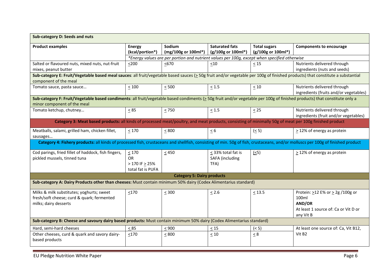| Sub-category D: Seeds and nuts                                                                                                                                                                            |                                  |                                                                                              |                                             |                                           |                                                                       |  |
|-----------------------------------------------------------------------------------------------------------------------------------------------------------------------------------------------------------|----------------------------------|----------------------------------------------------------------------------------------------|---------------------------------------------|-------------------------------------------|-----------------------------------------------------------------------|--|
| <b>Product examples</b>                                                                                                                                                                                   | <b>Energy</b><br>(kcal/portion*) | Sodium<br>(mg/100g or 100ml*)                                                                | <b>Saturated fats</b><br>(g/100g or 100ml*) | <b>Total sugars</b><br>(g/100g or 100ml*) | <b>Components to encourage</b>                                        |  |
|                                                                                                                                                                                                           |                                  | *Energy values are per portion and nutrient values per 100g, except when specified otherwise |                                             |                                           |                                                                       |  |
| Salted or flavoured nuts, mixed nuts, nut-fruit                                                                                                                                                           | $200$                            | 50/50                                                                                        | $\leq 10$                                   | < 15                                      | Nutrients delivered through                                           |  |
| mixes, peanut butter                                                                                                                                                                                      |                                  |                                                                                              |                                             |                                           | ingredients (nuts and seeds)                                          |  |
| Sub-category E: Fruit/Vegetable based meal sauces: all fruit/vegetable based sauces (> 50g fruit and/or vegetable per 100g of finished products) that constitute a substantial<br>component of the meal   |                                  |                                                                                              |                                             |                                           |                                                                       |  |
| Tomato sauce, pasta sauce                                                                                                                                                                                 | $\leq 100$                       | $\leq 500$                                                                                   | $\leq 1.5$                                  | $\leq 10$                                 | Nutrients delivered through<br>ingredients (fruits and/or vegetables) |  |
| Sub-category F: Fruit/Vegetable based condiments: all fruit/vegetable based condiments (> 50g fruit and/or vegetable per 100g of finished products) that constitute only a<br>minor component of the meal |                                  |                                                                                              |                                             |                                           |                                                                       |  |
| Tomato ketchup, chutney                                                                                                                                                                                   | $\leq$ 85                        | $\leq 750$                                                                                   | $\leq 1.5$                                  | $\leq$ 25                                 | Nutrients delivered through<br>ingredients (fruit and/or vegetables)  |  |
| Category 3: Meat based products: all kinds of processed meat/poultry, and meat products, consisting of minimally 50g of meat per 100g finished product                                                    |                                  |                                                                                              |                                             |                                           |                                                                       |  |
| Meatballs, salami, grilled ham, chicken fillet,<br>sausages                                                                                                                                               | $<170$                           | $\leq 800$                                                                                   | $\leq 6$                                    | (5)                                       | > 12% of energy as protein                                            |  |
| Category 4: Fishery products: all kinds of processed fish, crustaceans and shellfish, consisting of min. 50g of fish, crustaceans, and/or molluscs per 100g of finished product                           |                                  |                                                                                              |                                             |                                           |                                                                       |  |
| Cod parings, fried fillet of haddock, fish fingers,                                                                                                                                                       | $\leq 170$                       | $\leq 450$                                                                                   | $\leq$ 33% total fat is                     | $\leq$ 5)                                 | $\geq$ 12% of energy as protein                                       |  |
| pickled mussels, tinned tuna                                                                                                                                                                              | OR                               |                                                                                              | <b>SAFA</b> (including                      |                                           |                                                                       |  |
|                                                                                                                                                                                                           | $>$ 170 IF $\geq$ 25%            |                                                                                              | TFA)                                        |                                           |                                                                       |  |
|                                                                                                                                                                                                           | total fat is PUFA                |                                                                                              |                                             |                                           |                                                                       |  |
|                                                                                                                                                                                                           |                                  | <b>Category 5: Dairy products</b>                                                            |                                             |                                           |                                                                       |  |
| Sub-category A: Dairy Products other than cheeses: Must contain minimum 50% dairy (Codex Alimentarius standard)                                                                                           |                                  |                                                                                              |                                             |                                           |                                                                       |  |
| Milks & milk substitutes; yoghurts; sweet                                                                                                                                                                 | $\leq 170$                       | $\leq 300$                                                                                   | $\leq 2.6$                                  | $\leq 13.5$                               | Protein: >12 E% or > 2g /100g or                                      |  |
| fresh/soft cheese; curd & quark; fermented                                                                                                                                                                |                                  |                                                                                              |                                             |                                           | 100ml                                                                 |  |
| milks; dairy desserts                                                                                                                                                                                     |                                  |                                                                                              |                                             |                                           | AND/OR                                                                |  |
|                                                                                                                                                                                                           |                                  |                                                                                              |                                             |                                           | At least 1 source of: Ca or Vit D or<br>any Vit B                     |  |
| Sub-category B: Cheese and savoury dairy based products: Must contain minimum 50% dairy (Codex Alimentarius standard)                                                                                     |                                  |                                                                                              |                                             |                                           |                                                                       |  |
| Hard, semi-hard cheeses                                                                                                                                                                                   | < 85                             | $< 900$                                                                                      | $\leq 15$                                   | ( < 5)                                    | At least one source of: Ca, Vit B12,                                  |  |
| Other cheeses, curd & quark and savory dairy-<br>based products                                                                                                                                           | < 170                            | $\leq 800$                                                                                   | $\leq 10$                                   | $\leq 8$                                  | Vit B <sub>2</sub>                                                    |  |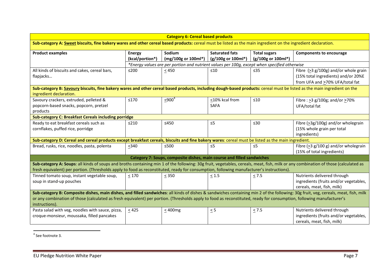| <b>Category 6: Cereal based products</b>                                                                                                                                                                                                                                                                                                                                       |                                  |                                                                                              |                                             |                                           |                                                                                                                  |  |  |
|--------------------------------------------------------------------------------------------------------------------------------------------------------------------------------------------------------------------------------------------------------------------------------------------------------------------------------------------------------------------------------|----------------------------------|----------------------------------------------------------------------------------------------|---------------------------------------------|-------------------------------------------|------------------------------------------------------------------------------------------------------------------|--|--|
| Sub-category A: Sweet biscuits, fine bakery wares and other cereal based products: cereal must be listed as the main ingredient on the ingredient declaration.                                                                                                                                                                                                                 |                                  |                                                                                              |                                             |                                           |                                                                                                                  |  |  |
| <b>Product examples</b>                                                                                                                                                                                                                                                                                                                                                        | <b>Energy</b><br>(kcal/portion*) | Sodium<br>(mg/100g or 100ml*)                                                                | <b>Saturated fats</b><br>(g/100g or 100ml*) | <b>Total sugars</b><br>(g/100g or 100ml*) | <b>Components to encourage</b>                                                                                   |  |  |
|                                                                                                                                                                                                                                                                                                                                                                                |                                  | *Energy values are per portion and nutrient values per 100g, except when specified otherwise |                                             |                                           |                                                                                                                  |  |  |
| All kinds of biscuits and cakes, cereal bars,<br>flapjacks                                                                                                                                                                                                                                                                                                                     | $\leq$ 200                       | $\leq 450$                                                                                   | $\leq 10$                                   | ≤35                                       | Fibre $(23 g/100g)$ and/or whole grain<br>(15% total ingredients) and/or 20%E<br>from UFA and >70% UFA/total fat |  |  |
| Sub-category B: Savoury biscuits, fine bakery wares and other cereal based products, including dough-based products: cereal must be listed as the main ingredient on the<br>ingredient declaration.                                                                                                                                                                            |                                  |                                                                                              |                                             |                                           |                                                                                                                  |  |  |
| Savoury crackers, extruded, pelleted &<br>popcorn-based snacks, popcorn, pretzel<br>products                                                                                                                                                                                                                                                                                   | ≤170                             | $\leq 900^4$                                                                                 | <10% kcal from<br><b>SAFA</b>               | $\leq 10$                                 | Fibre : $\geq$ 3 g/100g; and/or >70%<br>UFA/total fat                                                            |  |  |
| <b>Sub-category C: Breakfast Cereals including porridge</b>                                                                                                                                                                                                                                                                                                                    |                                  |                                                                                              |                                             |                                           |                                                                                                                  |  |  |
| Ready to eat breakfast cereals such as<br>cornflakes, puffed rice, porridge                                                                                                                                                                                                                                                                                                    | $\leq$ 210                       | $≤450$                                                                                       | $\leq$ 5                                    | $\leq 30$                                 | Fibre (>3g/100g) and/or wholegrain<br>(15% whole grain per total<br>ingredients)                                 |  |  |
| Sub-category D: Cereal and cereal products except breakfast cereals, biscuits and fine bakery wares: cereal must be listed as the main ingredient.                                                                                                                                                                                                                             |                                  |                                                                                              |                                             |                                           |                                                                                                                  |  |  |
| Bread, rusks, rice, noodles, pasta, polenta                                                                                                                                                                                                                                                                                                                                    | $340$                            | ≤500                                                                                         | $\leq 5$                                    | $\leq 5$                                  | Fibre $(23 g/100 g)$ and/or wholegrain<br>(15% of total ingredients)                                             |  |  |
|                                                                                                                                                                                                                                                                                                                                                                                |                                  | Category 7: Soups, composite dishes, main course and filled sandwiches                       |                                             |                                           |                                                                                                                  |  |  |
| Sub-category A: Soups: all kinds of soups and broths containing min 1 of the following: 30g fruit, vegetables, cereals, meat, fish, milk or any combination of those (calculated as<br>fresh equivalent) per portion. (Thresholds apply to food as reconstituted, ready for consumption, following manufacturer's instructions).                                               |                                  |                                                                                              |                                             |                                           |                                                                                                                  |  |  |
| Tinned tomato soup, instant vegetable soup,<br>soup in stand-up pouches                                                                                                                                                                                                                                                                                                        | $\leq 170$                       | $\leq$ 350                                                                                   | $\leq 1.5$                                  | $\leq$ 7.5                                | Nutrients delivered through<br>ingredients (fruits and/or vegetables,<br>cereals, meat, fish, milk)              |  |  |
| Sub-category B: Composite dishes, main dishes, and filled sandwiches: all kinds of dishes & sandwiches containing min 2 of the following: 30g fruit, veg, cereals, meat, fish, milk<br>or any combination of those (calculated as fresh equivalent) per portion. (Thresholds apply to food as reconstituted, ready for consumption, following manufacturer's<br>instructions). |                                  |                                                                                              |                                             |                                           |                                                                                                                  |  |  |
| Pasta salad with veg, noodles with sauce, pizza,<br>croque-monsieur, moussaka, filled pancakes                                                                                                                                                                                                                                                                                 | $\leq 425$                       | $\leq$ 400mg                                                                                 | $\leq$ 5                                    | $\leq 7.5$                                | Nutrients delivered through<br>ingredients (fruits and/or vegetables,<br>cereals, meat, fish, milk)              |  |  |

<sup>4</sup> See footnote 3.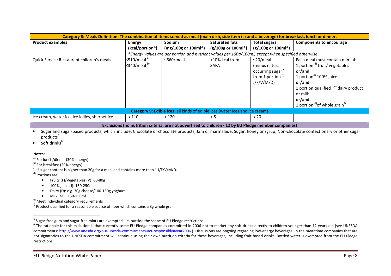| Category 8: Meals Definition: The combination of items served as meal (main dish, side item (s) and a beverage) for breakfast, lunch or dinner.                                                     |                               |                                                                                                    |                       |                                |                                                |  |
|-----------------------------------------------------------------------------------------------------------------------------------------------------------------------------------------------------|-------------------------------|----------------------------------------------------------------------------------------------------|-----------------------|--------------------------------|------------------------------------------------|--|
| <b>Product examples</b>                                                                                                                                                                             | <b>Energy</b>                 | <b>Sodium</b>                                                                                      | <b>Saturated fats</b> | <b>Total sugars</b>            | <b>Components to encourage</b>                 |  |
|                                                                                                                                                                                                     | (kcal/portion*)               | (mg/100g or 100ml*)                                                                                | (g/100g or 100ml*)    | $(g/100g \text{ or } 100ml^*)$ |                                                |  |
|                                                                                                                                                                                                     |                               | *Energy values are per portion and nutrient values per 100g/100ml, except when specified otherwise |                       |                                |                                                |  |
| Quick Service Restaurant children's meals                                                                                                                                                           | $\leq$ 510/meal <sup>a)</sup> | $\leq$ 660/meal                                                                                    | <10% kcal from        | $\leq$ 20/meal                 | Each meal must contain min. of:                |  |
|                                                                                                                                                                                                     | $\leq$ 340/meal <sup>b)</sup> |                                                                                                    | SAFA                  | (minus natural                 | 1 portion <sup>d)</sup> fruit/ vegetables      |  |
|                                                                                                                                                                                                     |                               |                                                                                                    |                       | occurring sugar <sup>c)</sup>  | or/and                                         |  |
|                                                                                                                                                                                                     |                               |                                                                                                    |                       | from 1 portion $d$             | 1 portion <sup>d)</sup> 100% juice             |  |
|                                                                                                                                                                                                     |                               |                                                                                                    |                       | J/F/V/M/D)                     | or/and                                         |  |
|                                                                                                                                                                                                     |                               |                                                                                                    |                       |                                | 1 portion qualified $d,e$ dairy product        |  |
|                                                                                                                                                                                                     |                               |                                                                                                    |                       |                                | or milk                                        |  |
|                                                                                                                                                                                                     |                               |                                                                                                    |                       |                                | or/and                                         |  |
|                                                                                                                                                                                                     |                               |                                                                                                    |                       |                                | 1 portion $^{d)}$ of whole grain <sup>t)</sup> |  |
|                                                                                                                                                                                                     |                               | Category 9: Edible ices: all kinds of edible ices (water ices and ice cream)                       |                       |                                |                                                |  |
| Ice cream, water ice, ice lollies, sherbet ice                                                                                                                                                      | < 110                         | < 120                                                                                              | $\leq$ 5              | < 20                           |                                                |  |
| Exclusions (no nutrition criteria; are not advertised to children <12 by EU Pledge member companies)                                                                                                |                               |                                                                                                    |                       |                                |                                                |  |
| Sugar and sugar-based products, which include: Chocolate or chocolate products; Jam or marmalade; Sugar, honey or syrup; Non-chocolate confectionary or other sugar<br>products <sup>5</sup><br>. 6 |                               |                                                                                                    |                       |                                |                                                |  |

• Soft drinks $^6$ 

#### Notes:

<sup>a)</sup> For lunch/dinner (30% energy)

 $b)$  For breakfast (20% energy)

<sup>c)</sup> If sugar content is higher than 20g for a meal and contains more than 1 J/F/V/M/D.

d) Portions are:

- Fruits (F)/Vegetables (V): 60-80g
- •100% juice (J): 150-250ml
- •Dairy (D): e.g. 30g cheese/100-150g yoghurt
- Milk (M): 150-250ml

e) Meet individual category requirements

<sup>f)</sup> Product qualified for a reasonable source of fiber which contains ≥ 8g whole grain

<sup>&</sup>lt;sup>5</sup> Sugar-free gum and sugar-free mints are exempted, i.e. outside the scope of EU Pledge restrictions.

 $^6$  The rationale for this exclusion is that currently some EU Pledge companies committed in 2006 not to market any soft drinks directly to children younger than 12 years old (see UNESDA commitments: http://www.unesda.org/our-unesda-commitments-act-responsibly#year2006). Discussions are ongoing regarding low-energy beverages. In the meantime companies that are not signatories to the UNESDA commitment will continue using their own nutrition criteria for these beverages, including fruit-based drinks. Bottled water is exempted from the EU Pledge restrictions.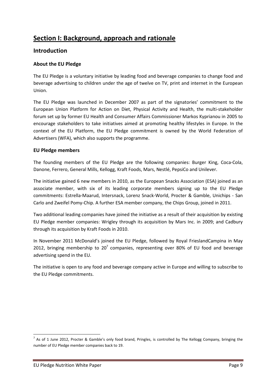# Section I: Background, approach and rationale

## Introduction

### About the EU Pledge

The EU Pledge is a voluntary initiative by leading food and beverage companies to change food and beverage advertising to children under the age of twelve on TV, print and internet in the European Union.

The EU Pledge was launched in December 2007 as part of the signatories' commitment to the European Union Platform for Action on Diet, Physical Activity and Health, the multi-stakeholder forum set up by former EU Health and Consumer Affairs Commissioner Markos Kyprianou in 2005 to encourage stakeholders to take initiatives aimed at promoting healthy lifestyles in Europe. In the context of the EU Platform, the EU Pledge commitment is owned by the World Federation of Advertisers (WFA), which also supports the programme.

#### EU Pledge members

The founding members of the EU Pledge are the following companies: Burger King, Coca-Cola, Danone, Ferrero, General Mills, Kellogg, Kraft Foods, Mars, Nestlé, PepsiCo and Unilever.

The initiative gained 6 new members in 2010, as the European Snacks Association (ESA) joined as an associate member, with six of its leading corporate members signing up to the EU Pledge commitments: Estrella-Maarud, Intersnack, Lorenz Snack-World, Procter & Gamble, Unichips - San Carlo and Zweifel Pomy-Chip. A further ESA member company, the Chips Group, joined in 2011.

Two additional leading companies have joined the initiative as a result of their acquisition by existing EU Pledge member companies: Wrigley through its acquisition by Mars Inc. in 2009; and Cadbury through its acquisition by Kraft Foods in 2010.

In November 2011 McDonald's joined the EU Pledge, followed by Royal FrieslandCampina in May 2012, bringing membership to 20<sup>7</sup> companies, representing over 80% of EU food and beverage advertising spend in the EU.

The initiative is open to any food and beverage company active in Europe and willing to subscribe to the EU Pledge commitments.

 $\overline{\phantom{0}}$ 

<sup>&</sup>lt;sup>7</sup> As of 1 June 2012, Procter & Gamble's only food brand, Pringles, is controlled by The Kellogg Company, bringing the number of EU Pledge member companies back to 19.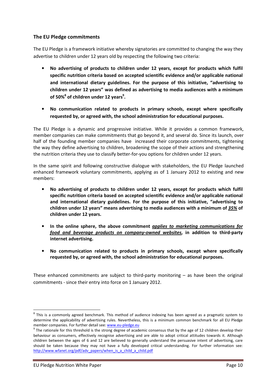### The EU Pledge commitments

The EU Pledge is a framework initiative whereby signatories are committed to changing the way they advertise to children under 12 years old by respecting the following two criteria:

- No advertising of products to children under 12 years, except for products which fulfil specific nutrition criteria based on accepted scientific evidence and/or applicable national and international dietary guidelines. For the purpose of this initiative, "advertising to children under 12 years" was defined as advertising to media audiences with a minimum of 50% $^8$  of children under 12 years $^9$ .
- No communication related to products in primary schools, except where specifically requested by, or agreed with, the school administration for educational purposes.

The EU Pledge is a dynamic and progressive initiative. While it provides a common framework, member companies can make commitments that go beyond it, and several do. Since its launch, over half of the founding member companies have increased their corporate commitments, tightening the way they define advertising to children, broadening the scope of their actions and strengthening the nutrition criteria they use to classify better-for-you options for children under 12 years.

In the same spirit and following constructive dialogue with stakeholders, the EU Pledge launched enhanced framework voluntary commitments, applying as of 1 January 2012 to existing and new members:

- No advertising of products to children under 12 years, except for products which fulfil specific nutrition criteria based on accepted scientific evidence and/or applicable national and international dietary guidelines. For the purpose of this initiative, "advertising to children under 12 years" means advertising to media audiences with a minimum of 35% of children under 12 years.
- In the online sphere, the above commitment applies to marketing communications for food and beverage products on company-owned websites, in addition to third-party internet advertising.
- No communication related to products in primary schools, except where specifically requested by, or agreed with, the school administration for educational purposes.

These enhanced commitments are subject to third-party monitoring  $-$  as have been the original commitments - since their entry into force on 1 January 2012.

l

 $^8$  This is a commonly agreed benchmark. This method of audience indexing has been agreed as a pragmatic system to determine the applicability of advertising rules. Nevertheless, this is a minimum common benchmark for all EU Pledge member companies. For further detail see: www.eu-pledge.eu

 $9$  The rationale for this threshold is the strong degree of academic consensus that by the age of 12 children develop their behaviour as consumers, effectively recognise advertising and are able to adopt critical attitudes towards it. Although children between the ages of 6 and 12 are believed to generally understand the persuasive intent of advertising, care should be taken because they may not have a fully developed critical understanding. For further information see: http://www.wfanet.org/pdf/adv\_papers/when\_is\_a\_child\_a\_child.pdf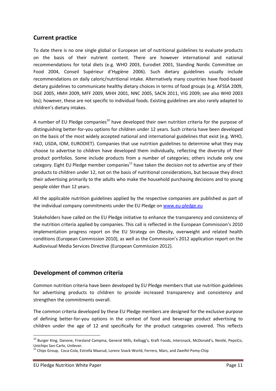## Current practice

To date there is no one single global or European set of nutritional guidelines to evaluate products on the basis of their nutrient content. There are however international and national recommendations for total diets (e.g. WHO 2003, Eurodiet 2001, Standing Nordic Committee on Food 2004, Conseil Supérieur d'Hygiène 2006). Such dietary guidelines usually include recommendations on daily caloric/nutritional intake. Alternatively many countries have food-based dietary guidelines to communicate healthy dietary choices in terms of food groups (e.g. AFSSA 2009, DGE 2005, HMH 2009, MFF 2009, MHH 2001, NNC 2005, SACN 2011, VIG 2009; see also WH0 2003 bis); however, these are not specific to individual foods. Existing guidelines are also rarely adapted to children's dietary intakes.

A number of EU Pledge companies<sup>10</sup> have developed their own nutrition criteria for the purpose of distinguishing better-for-you options for children under 12 years. Such criteria have been developed on the basis of the most widely accepted national and international guidelines that exist (e.g. WHO, FAO, USDA, IOM, EURODIET). Companies that use nutrition guidelines to determine what they may choose to advertise to children have developed them individually, reflecting the diversity of their product portfolios. Some include products from a number of categories; others include only one category. Eight EU Pledge member companies<sup>11</sup> have taken the decision not to advertise any of their products to children under 12, not on the basis of nutritional considerations, but because they direct their advertising primarily to the adults who make the household purchasing decisions and to young people older than 12 years.

All the applicable nutrition guidelines applied by the respective companies are published as part of the individual company commitments under the EU Pledge on www.eu-pledge.eu

Stakeholders have called on the EU Pledge initiative to enhance the transparency and consistency of the nutrition criteria applied by companies. This call is reflected in the European Commission's 2010 implementation progress report on the EU Strategy on Obesity, overweight and related health conditions (European Commission 2010), as well as the Commission's 2012 application report on the Audiovisual Media Services Directive (European Commission 2012).

## Development of common criteria

Common nutrition criteria have been developed by EU Pledge members that use nutrition guidelines for advertising products to children to provide increased transparency and consistency and strengthen the commitments overall.

The common criteria developed by these EU Pledge members are designed for the exclusive purpose of defining better-for-you options in the context of food and beverage product advertising to children under the age of 12 and specifically for the product categories covered. This reflects

 $\overline{\phantom{0}}$ 

<sup>&</sup>lt;sup>10</sup> Burger King, Danone, Friesland Campina, General Mills, Kellogg's, Kraft Foods, Intersnack, McDonald's, Nestlé, PepsiCo, Unichips San-Carlo, Unilever.

<sup>&</sup>lt;sup>11</sup> Chips Group, Coca-Cola, Estrella Maarud, Lorenz Snack-World, Ferrero, Mars, and Zweifel Pomy-Chip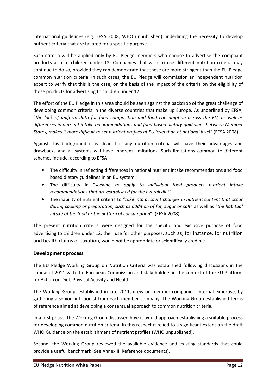international guidelines (e.g. EFSA 2008; WHO unpublished) underlining the necessity to develop nutrient criteria that are tailored for a specific purpose.

Such criteria will be applied only by EU Pledge members who choose to advertise the compliant products also to children under 12. Companies that wish to use different nutrition criteria may continue to do so, provided they can demonstrate that these are more stringent than the EU Pledge common nutrition criteria. In such cases, the EU Pledge will commission an independent nutrition expert to verify that this is the case, on the basis of the impact of the criteria on the eligibility of those products for advertising to children under 12.

The effort of the EU Pledge in this area should be seen against the backdrop of the great challenge of developing common criteria in the diverse countries that make up Europe. As underlined by EFSA, "the lack of uniform data for food composition and food consumption across the EU, as well as differences in nutrient intake recommendations and food based dietary guidelines between Member States, makes it more difficult to set nutrient profiles at EU level than at national level" (EFSA 2008).

Against this background it is clear that any nutrition criteria will have their advantages and drawbacks and all systems will have inherent limitations. Such limitations common to different schemes include, according to EFSA:

- The difficulty in reflecting differences in national nutrient intake recommendations and food based dietary guidelines in an EU system.
- The difficulty in "seeking to apply to individual food products nutrient intake recommendations that are established for the overall diet".
- The inability of nutrient criteria to "take into account changes in nutrient content that occur during cooking or preparation, such as addition of fat, sugar or salt" as well as "the habitual intake of the food or the pattern of consumption". (EFSA 2008)

The present nutrition criteria were designed for the specific and exclusive purpose of food advertising to children under 12; their use for other purposes, such as, for instance, for nutrition and health claims or taxation, would not be appropriate or scientifically credible.

## Development process

The EU Pledge Working Group on Nutrition Criteria was established following discussions in the course of 2011 with the European Commission and stakeholders in the context of the EU Platform for Action on Diet, Physical Activity and Health.

The Working Group, established in late 2011, drew on member companies' internal expertise, by gathering a senior nutritionist from each member company. The Working Group established terms of reference aimed at developing a consensual approach to common nutrition criteria.

In a first phase, the Working Group discussed how it would approach establishing a suitable process for developing common nutrition criteria. In this respect it relied to a significant extent on the draft WHO Guidance on the establishment of nutrient profiles (WHO unpublished).

Second, the Working Group reviewed the available evidence and existing standards that could provide a useful benchmark (See Annex II, Reference documents).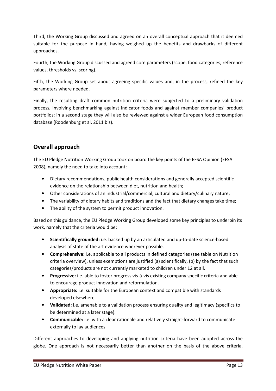Third, the Working Group discussed and agreed on an overall conceptual approach that it deemed suitable for the purpose in hand, having weighed up the benefits and drawbacks of different approaches.

Fourth, the Working Group discussed and agreed core parameters (scope, food categories, reference values, thresholds vs. scoring).

Fifth, the Working Group set about agreeing specific values and, in the process, refined the key parameters where needed.

Finally, the resulting draft common nutrition criteria were subjected to a preliminary validation process, involving benchmarking against indicator foods and against member companies' product portfolios; in a second stage they will also be reviewed against a wider European food consumption database (Roodenburg et al. 2011 bis).

## Overall approach

The EU Pledge Nutrition Working Group took on board the key points of the EFSA Opinion (EFSA 2008), namely the need to take into account:

- Dietary recommendations, public health considerations and generally accepted scientific evidence on the relationship between diet, nutrition and health;
- Other considerations of an industrial/commercial, cultural and dietary/culinary nature;
- The variability of dietary habits and traditions and the fact that dietary changes take time;
- The ability of the system to permit product innovation.

Based on this guidance, the EU Pledge Working Group developed some key principles to underpin its work, namely that the criteria would be:

- Scientifically grounded: i.e. backed up by an articulated and up-to-date science-based analysis of state of the art evidence wherever possible.
- Comprehensive: i.e. applicable to all products in defined categories (see table on Nutrition criteria overview), unless exemptions are justified (a) scientifically, (b) by the fact that such categories/products are not currently marketed to children under 12 at all.
- Progressive: i.e. able to foster progress vis-à-vis existing company specific criteria and able to encourage product innovation and reformulation.
- Appropriate: i.e. suitable for the European context and compatible with standards developed elsewhere.
- Validated: i.e. amenable to a validation process ensuring quality and legitimacy (specifics to be determined at a later stage).
- Communicable: i.e. with a clear rationale and relatively straight-forward to communicate externally to lay audiences.

Different approaches to developing and applying nutrition criteria have been adopted across the globe. One approach is not necessarily better than another on the basis of the above criteria.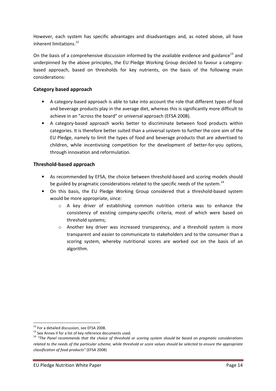However, each system has specific advantages and disadvantages and, as noted above, all have inherent limitations.<sup>12</sup>

On the basis of a comprehensive discussion informed by the available evidence and guidance<sup>13</sup> and underpinned by the above principles, the EU Pledge Working Group decided to favour a categorybased approach, based on thresholds for key nutrients, on the basis of the following main considerations:

## Category based approach

- A category-based approach is able to take into account the role that different types of food and beverage products play in the average diet, whereas this is significantly more difficult to achieve in an "across the board" or universal approach (EFSA 2008).
- A category-based approach works better to discriminate between food products within categories. It is therefore better suited than a universal system to further the core aim of the EU Pledge, namely to limit the types of food and beverage products that are advertised to children, while incentivising competition for the development of better-for-you options, through innovation and reformulation.

## Threshold-based approach

- As recommended by EFSA, the choice between threshold-based and scoring models should be guided by pragmatic considerations related to the specific needs of the system.<sup>14</sup>
- On this basis, the EU Pledge Working Group considered that a threshold-based system would be more appropriate, since:
	- o A key driver of establishing common nutrition criteria was to enhance the consistency of existing company-specific criteria, most of which were based on threshold systems;
	- $\circ$  Another key driver was increased transparency, and a threshold system is more transparent and easier to communicate to stakeholders and to the consumer than a scoring system, whereby nutritional scores are worked out on the basis of an algorithm.

 $\overline{\phantom{0}}$ 

<sup>&</sup>lt;sup>12</sup> For a detailed discussion, see EFSA 2008.

 $13$  See Annex II for a list of key reference documents used.

<sup>&</sup>lt;sup>14</sup> "The Panel recommends that the choice of threshold or scoring system should be based on pragmatic considerations related to the needs of the particular scheme, while threshold or score values should be selected to ensure the appropriate classification of food products" (EFSA 2008)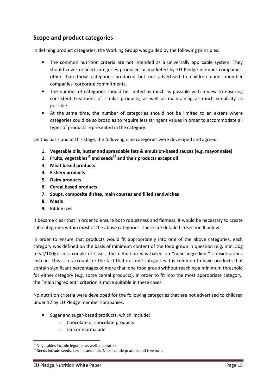## Scope and product categories

In defining product categories, the Working Group was guided by the following principles:

- The common nutrition criteria are not intended as a universally applicable system. They should cover defined categories produced or marketed by EU Pledge member companies, other than those categories produced but not advertised to children under member companies' corporate commitments.
- The number of categories should be limited as much as possible with a view to ensuring consistent treatment of similar products, as well as maintaining as much simplicity as possible.
- At the same time, the number of categories should not be limited to an extent where categories could be so broad as to require less stringent values in order to accommodate all types of products represented in the category.

On this basis and at this stage, the following nine categories were developed and agreed:

- 1. Vegetable oils, butter and spreadable fats & emulsion-based sauces (e.g. mayonnaise)
- 2. Fruits, vegetables<sup>15</sup> and seeds<sup>16</sup> and their products except oil
- 3. Meat based products
- 4. Fishery products
- 5. Dairy products
- 6. Cereal based products
- 7. Soups, composite dishes, main courses and filled sandwiches
- 8. Meals
- 9. Edible ices

It became clear that in order to ensure both robustness and fairness, it would be necessary to create sub-categories within most of the above categories. These are detailed in Section II below.

In order to ensure that products would fit appropriately into one of the above categories, each category was defined on the basis of minimum content of the food group in question (e.g. min. 50g meat/100g). In a couple of cases, the definition was based on "main ingredient" considerations instead. This is to account for the fact that in some categories it is common to have products that contain significant percentages of more than one food group without reaching a minimum threshold for either category (e.g. some cereal products). In order to fit into the most appropriate category, the "main ingredient" criterion is more suitable in these cases.

No nutrition criteria were developed for the following categories that are not advertised to children under 12 by EU Pledge member companies:

- Sugar and sugar-based products, which include:
	- o Chocolate or chocolate products
	- o Jam or marmalade

l

 $15$  Vegetables include legumes as well as potatoes.

<sup>&</sup>lt;sup>16</sup> Seeds include seeds, kernels and nuts. Nuts include peanuts and tree nuts.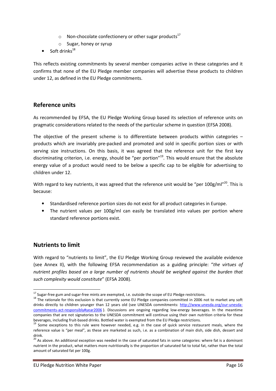- o Non-chocolate confectionery or other sugar products<sup>17</sup>
- o Sugar, honey or syrup
- Soft drinks<sup>18</sup>

This reflects existing commitments by several member companies active in these categories and it confirms that none of the EU Pledge member companies will advertise these products to children under 12, as defined in the EU Pledge commitments.

## Reference units

As recommended by EFSA, the EU Pledge Working Group based its selection of reference units on pragmatic considerations related to the needs of the particular scheme in question (EFSA 2008).

The objective of the present scheme is to differentiate between products within categories  $$ products which are invariably pre-packed and promoted and sold in specific portion sizes or with serving size instructions. On this basis, it was agreed that the reference unit for the first key discriminating criterion, i.e. energy, should be "per portion"<sup>19</sup>. This would ensure that the absolute energy value of a product would need to be below a specific cap to be eligible for advertising to children under 12.

With regard to key nutrients, it was agreed that the reference unit would be "per 100g/ml"<sup>20</sup>. This is because:

- Standardised reference portion sizes do not exist for all product categories in Europe.
- The nutrient values per 100g/ml can easily be translated into values per portion where standard reference portions exist.

## Nutrients to limit

l

With regard to "nutrients to limit", the EU Pledge Working Group reviewed the available evidence (see Annex II), with the following EFSA recommendation as a guiding principle: "the virtues of nutrient profiles based on a large number of nutrients should be weighed against the burden that such complexity would constitute" (EFSA 2008).

 $^{17}$  Sugar-free gum and sugar-free mints are exempted, i.e. outside the scope of EU Pledge restrictions.

<sup>&</sup>lt;sup>18</sup> The rationale for this exclusion is that currently some EU Pledge companies committed in 2006 not to market any soft drinks directly to children younger than 12 years old (see UNESDA commitments: http://www.unesda.org/our-unesdacommitments-act-responsibly#year2006 ). Discussions are ongoing regarding low-energy beverages. In the meantime companies that are not signatories to the UNESDA commitment will continue using their own nutrition criteria for these beverages, including fruit-based drinks. Bottled water is exempted from the EU Pledge restrictions.

<sup>&</sup>lt;sup>19</sup> Some exceptions to this rule were however needed, e.g. in the case of quick service restaurant meals, where the reference value is "per meal", as these are marketed as such, i.e. as a combination of main dish, side dish, dessert and drink.

<sup>&</sup>lt;sup>20</sup> As above. An additional exception was needed in the case of saturated fats in some categories: where fat is a dominant nutrient in the product, what matters more nutritionally is the proportion of saturated fat to total fat, rather than the total amount of saturated fat per 100g.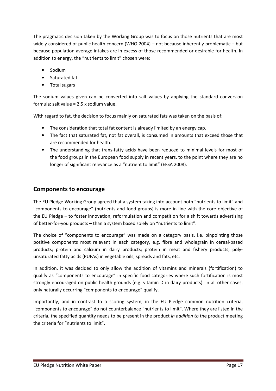The pragmatic decision taken by the Working Group was to focus on those nutrients that are most widely considered of public health concern (WHO 2004) – not because inherently problematic – but because population average intakes are in excess of those recommended or desirable for health. In addition to energy, the "nutrients to limit" chosen were:

- Sodium
- Saturated fat
- Total sugars

The sodium values given can be converted into salt values by applying the standard conversion formula: salt value = 2.5 x sodium value.

With regard to fat, the decision to focus mainly on saturated fats was taken on the basis of:

- The consideration that total fat content is already limited by an energy cap.
- The fact that saturated fat, not fat overall, is consumed in amounts that exceed those that are recommended for health.
- The understanding that trans-fatty acids have been reduced to minimal levels for most of the food groups in the European food supply in recent years, to the point where they are no longer of significant relevance as a "nutrient to limit" (EFSA 2008).

## Components to encourage

The EU Pledge Working Group agreed that a system taking into account both "nutrients to limit" and "components to encourage" (nutrients and food groups) is more in line with the core objective of the EU Pledge – to foster innovation, reformulation and competition for a shift towards advertising of better-for-you products – than a system based solely on "nutrients to limit".

The choice of "components to encourage" was made on a category basis, i.e. pinpointing those positive components most relevant in each category, e.g. fibre and wholegrain in cereal-based products; protein and calcium in dairy products; protein in meat and fishery products; polyunsaturated fatty acids (PUFAs) in vegetable oils, spreads and fats, etc.

In addition, it was decided to only allow the addition of vitamins and minerals (fortification) to qualify as "components to encourage" in specific food categories where such fortification is most strongly encouraged on public health grounds (e.g. vitamin D in dairy products). In all other cases, only naturally occurring "components to encourage" qualify.

Importantly, and in contrast to a scoring system, in the EU Pledge common nutrition criteria, "components to encourage" do not counterbalance "nutrients to limit". Where they are listed in the criteria, the specified quantity needs to be present in the product in addition to the product meeting the criteria for "nutrients to limit".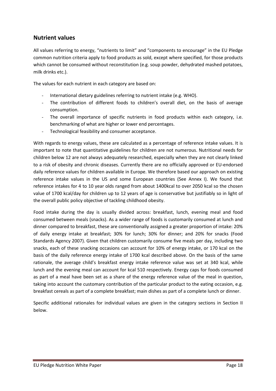## Nutrient values

All values referring to energy, "nutrients to limit" and "components to encourage" in the EU Pledge common nutrition criteria apply to food products as sold, except where specified, for those products which cannot be consumed without reconstitution (e.g. soup powder, dehydrated mashed potatoes, milk drinks etc.).

The values for each nutrient in each category are based on:

- International dietary guidelines referring to nutrient intake (e.g. WHO).
- The contribution of different foods to children's overall diet, on the basis of average consumption.
- The overall importance of specific nutrients in food products within each category, i.e. benchmarking of what are higher or lower end percentages.
- Technological feasibility and consumer acceptance.

With regards to energy values, these are calculated as a percentage of reference intake values. It is important to note that quantitative guidelines for children are not numerous. Nutritional needs for children below 12 are not always adequately researched, especially when they are not clearly linked to a risk of obesity and chronic diseases. Currently there are no officially approved or EU-endorsed daily reference values for children available in Europe. We therefore based our approach on existing reference intake values in the US and some European countries (See Annex I). We found that reference intakes for 4 to 10 year olds ranged from about 1400kcal to over 2050 kcal so the chosen value of 1700 kcal/day for children up to 12 years of age is conservative but justifiably so in light of the overall public policy objective of tackling childhood obesity.

Food intake during the day is usually divided across: breakfast, lunch, evening meal and food consumed between meals (snacks). As a wider range of foods is customarily consumed at lunch and dinner compared to breakfast, these are conventionally assigned a greater proportion of intake: 20% of daily energy intake at breakfast; 30% for lunch; 30% for dinner; and 20% for snacks (Food Standards Agency 2007). Given that children customarily consume five meals per day, including two snacks, each of these snacking occasions can account for 10% of energy intake, or 170 kcal on the basis of the daily reference energy intake of 1700 kcal described above. On the basis of the same rationale, the average child's breakfast energy intake reference value was set at 340 kcal, while lunch and the evening meal can account for kcal 510 respectively. Energy caps for foods consumed as part of a meal have been set as a share of the energy reference value of the meal in question, taking into account the customary contribution of the particular product to the eating occasion, e.g. breakfast cereals as part of a complete breakfast; main dishes as part of a complete lunch or dinner.

Specific additional rationales for individual values are given in the category sections in Section II below.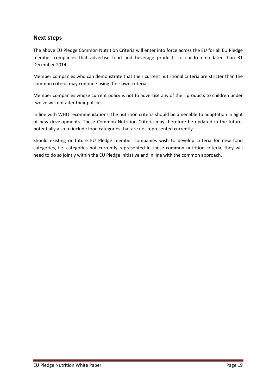## Next steps

The above EU Pledge Common Nutrition Criteria will enter into force across the EU for all EU Pledge member companies that advertise food and beverage products to children no later than 31 December 2014.

Member companies who can demonstrate that their current nutritional criteria are stricter than the common criteria may continue using their own criteria.

Member companies whose current policy is not to advertise any of their products to children under twelve will not alter their policies.

In line with WHO recommendations, the nutrition criteria should be amenable to adaptation in light of new developments. These Common Nutrition Criteria may therefore be updated in the future, potentially also to include food categories that are not represented currently.

Should existing or future EU Pledge member companies wish to develop criteria for new food categories, i.e. categories not currently represented in these common nutrition criteria, they will need to do so jointly within the EU Pledge initiative and in line with the common approach.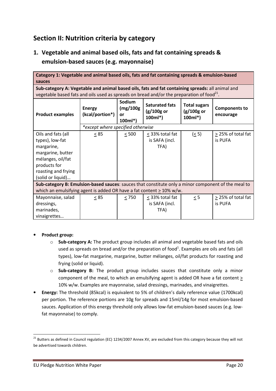## Section II: Nutrition criteria by category

1. Vegetable and animal based oils, fats and fat containing spreads & emulsion-based sauces (e.g. mayonnaise)

| Category 1: Vegetable and animal based oils, fats and fat containing spreads & emulsion-based         |                                   |                                      |                                                  |                                                 |                                   |  |  |  |
|-------------------------------------------------------------------------------------------------------|-----------------------------------|--------------------------------------|--------------------------------------------------|-------------------------------------------------|-----------------------------------|--|--|--|
| sauces                                                                                                |                                   |                                      |                                                  |                                                 |                                   |  |  |  |
| Sub-category A: Vegetable and animal based oils, fats and fat containing spreads: all animal and      |                                   |                                      |                                                  |                                                 |                                   |  |  |  |
| vegetable based fats and oils used as spreads on bread and/or the preparation of food <sup>21</sup> . |                                   |                                      |                                                  |                                                 |                                   |  |  |  |
| <b>Product examples</b>                                                                               | <b>Energy</b><br>(kcal/portion*)  | Sodium<br>(mg/100g<br>or<br>$100ml*$ | <b>Saturated fats</b><br>$(g/100g$ or<br>100ml*) | <b>Total sugars</b><br>$(g/100g$ or<br>$100ml*$ | <b>Components to</b><br>encourage |  |  |  |
|                                                                                                       | *except where specified otherwise |                                      |                                                  |                                                 |                                   |  |  |  |
| Oils and fats (all                                                                                    | $\leq$ 85                         | $\leq 500$                           | < 33% total fat                                  | (< 5)                                           | > 25% of total fat                |  |  |  |
| types), low-fat                                                                                       |                                   |                                      | is SAFA (incl.                                   |                                                 | is PUFA                           |  |  |  |
| margarine,                                                                                            |                                   |                                      | TFA)                                             |                                                 |                                   |  |  |  |
| margarine, butter                                                                                     |                                   |                                      |                                                  |                                                 |                                   |  |  |  |
| mélanges, oil/fat                                                                                     |                                   |                                      |                                                  |                                                 |                                   |  |  |  |
| products for                                                                                          |                                   |                                      |                                                  |                                                 |                                   |  |  |  |
| roasting and frying                                                                                   |                                   |                                      |                                                  |                                                 |                                   |  |  |  |
| (solid or liquid)                                                                                     |                                   |                                      |                                                  |                                                 |                                   |  |  |  |
| Sub-category B: Emulsion-based sauces: sauces that constitute only a minor component of the meal to   |                                   |                                      |                                                  |                                                 |                                   |  |  |  |
| which an emulsifying agent is added OR have a fat content $\geq 10\%$ w/w.                            |                                   |                                      |                                                  |                                                 |                                   |  |  |  |
| Mayonnaise, salad                                                                                     | $\leq$ 85                         | < 750                                | < 33% total fat                                  | $\leq$ 5                                        | > 25% of total fat                |  |  |  |
| dressings,                                                                                            |                                   |                                      | is SAFA (incl.                                   |                                                 | is PUFA                           |  |  |  |
| marinades,                                                                                            |                                   |                                      | TFA)                                             |                                                 |                                   |  |  |  |
| vinaigrettes                                                                                          |                                   |                                      |                                                  |                                                 |                                   |  |  |  |

## • Product group:

 $\overline{\phantom{0}}$ 

- o Sub-category A: The product group includes all animal and vegetable based fats and oils used as spreads on bread and/or the preparation of food<sup>1</sup>. Examples are oils and fats (all types), low-fat margarine, margarine, butter mélanges, oil/fat products for roasting and frying (solid or liquid).
- o Sub-category B: The product group includes sauces that constitute only a minor component of the meal, to which an emulsifying agent is added OR have a fat content  $\geq$ 10% w/w. Examples are mayonnaise, salad dressings, marinades, and vinaigrettes.
- Energy: The threshold (85kcal) is equivalent to 5% of children's daily reference value (1700kcal) per portion. The reference portions are 10g for spreads and 15ml/14g for most emulsion-based sauces. Application of this energy threshold only allows low-fat emulsion-based sauces (e.g. lowfat mayonnaise) to comply.

 $21$  Butters as defined in Council regulation (EC) 1234/2007 Annex XV, are excluded from this category because they will not be advertised towards children.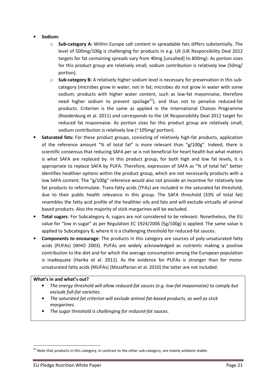- Sodium:
	- $\circ$  Sub-category A: Within Europe salt content in spreadable fats differs substantially. The level of 500mg/100g is challenging for products in e.g. UK (UK Responsibility Deal 2012 targets for fat containing spreads vary from 40mg [unsalted] to 800mg). As portion sizes for this product group are relatively small, sodium contribution is relatively low (50mg/ portion).
	- $\circ$  Sub-category B: A relatively higher sodium level is necessary for preservation in this subcategory (microbes grow in water, not in fat; microbes do not grow in water with some sodium; products with higher water content, such as low-fat mayonnaise, therefore need higher sodium to prevent spoilage<sup>22</sup>), and thus not to penalize reduced-fat products. Criterion is the same as applied in the International Choices Programme (Roodenburg et al. 2011) and corresponds to the UK Responsibility Deal 2012 target for reduced fat mayonnaise. As portion sizes for this product group are relatively small, sodium contribution is relatively low (~105mg/ portion).
- Saturated fats: For these product groups, consisting of relatively high-fat products, application of the reference amount "% of total fat" is more relevant than "g/100g". Indeed, there is scientific consensus that reducing SAFA per se is not beneficial for heart health but what matters is what SAFA are replaced by. In this product group, for both high and low fat levels, it is appropriate to replace SAFA by PUFA. Therefore, expression of SAFA as "% of total fat" better identifies healthier options within the product group, which are not necessarily products with a low SAFA content. The "g/100g" reference would also not provide an incentive for relatively low fat products to reformulate. Trans-fatty acids (TFAs) are included in the saturated fat threshold, due to their public health relevance in this group. The SAFA threshold (33% of total fat) resembles the fatty acid profile of the healthier oils and fats and will exclude virtually all animal based products. Also the majority of stick margarines will be excluded.
- Total sugars: For Subcategory A, sugars are not considered to be relevant. Nonetheless, the EU value for "low in sugar" as per Regulation EC 1924/2006 (5g/100g) is applied. The same value is applied to Subcategory B, where it is a challenging threshold for reduced-fat sauces.
- Components to encourage: The products in this category are sources of poly-unsaturated fatty acids (PUFAs) (WHO 2003). PUFAs are widely acknowledged as nutrients making a positive contribution to the diet and for which the average consumption among the European population is inadequate (Harika et al. 2011). As the evidence for PUFAs is stronger than for monounsaturated fatty acids (MUFAs) (Mozaffarian et al. 2010) the latter are not included.

- The energy threshold will allow reduced-fat sauces (e.g. low-fat mayonnaise) to comply but exclude full-fat varieties.
- The saturated fat criterion will exclude animal fat-based products, as well as stick margarines.
- The sugar threshold is challenging for reduced-fat sauces.

 $\overline{a}$ 

 $^{22}$  Note that products in this category, in contrast to the other sub-category, are mainly ambient stable.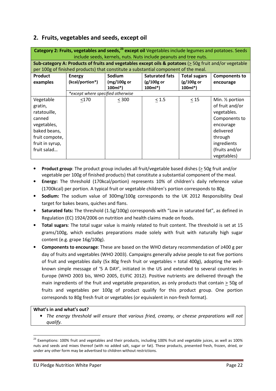## 2. Fruits, vegetables and seeds, except oil

|                 | Category 2: Fruits, vegetables and seeds, <sup>23</sup> except oil Vegetables include legumes and potatoes. Seeds |                |                                                                   |                     |                              |  |  |  |
|-----------------|-------------------------------------------------------------------------------------------------------------------|----------------|-------------------------------------------------------------------|---------------------|------------------------------|--|--|--|
|                 |                                                                                                                   |                | include seeds, kernels, nuts. Nuts include peanuts and tree nuts. |                     |                              |  |  |  |
|                 | Sub-category A: Products of fruits and vegetables except oils & potatoes (> 50g fruit and/or vegetable            |                |                                                                   |                     |                              |  |  |  |
|                 | per 100g of finished products) that constitute a substantial component of the meal.                               |                |                                                                   |                     |                              |  |  |  |
| <b>Product</b>  | <b>Energy</b>                                                                                                     | Sodium         | <b>Saturated fats</b>                                             | <b>Total sugars</b> | <b>Components to</b>         |  |  |  |
| examples        | (kcal/portion*)                                                                                                   | $(mg/100g)$ or | $(g/100g)$ or                                                     | $(g/100g$ or        | encourage                    |  |  |  |
|                 |                                                                                                                   | $100ml*$       | $100ml^*$                                                         | $100ml*$            |                              |  |  |  |
|                 | *except where specified otherwise                                                                                 |                |                                                                   |                     |                              |  |  |  |
| Vegetable       | <170                                                                                                              | < 300          | $\leq 1.5$                                                        | $\leq 15$           | Min. 1/ <sub>2</sub> portion |  |  |  |
| gratin,         |                                                                                                                   |                |                                                                   |                     | of fruit and/or              |  |  |  |
| ratatouille,    |                                                                                                                   |                |                                                                   |                     | vegetables.                  |  |  |  |
| canned          |                                                                                                                   |                |                                                                   |                     | Components to                |  |  |  |
| vegetables,     |                                                                                                                   |                |                                                                   |                     | encourage                    |  |  |  |
| baked beans,    |                                                                                                                   |                |                                                                   |                     | delivered                    |  |  |  |
| fruit compote,  |                                                                                                                   |                |                                                                   |                     | through                      |  |  |  |
| fruit in syrup, |                                                                                                                   |                |                                                                   |                     | ingredients                  |  |  |  |
| fruit salad     |                                                                                                                   |                |                                                                   |                     | (fruits and/or               |  |  |  |
|                 |                                                                                                                   |                |                                                                   |                     | vegetables)                  |  |  |  |

- **Product group**: The product group includes all fruit/vegetable based dishes  $($  > 50g fruit and/or vegetable per 100g of finished products) that constitute a substantial component of the meal.
- Energy: The threshold (170kcal/portion) represents 10% of children's daily reference value (1700kcal) per portion. A typical fruit or vegetable children's portion corresponds to 80g.
- Sodium: The sodium value of 300mg/100g corresponds to the UK 2012 Responsibility Deal target for bakes beans, quiches and flans.
- Saturated fats: The threshold (1.5g/100g) corresponds with "Low in saturated fat", as defined in Regulation (EC) 1924/2006 on nutrition and health claims made on foods.
- Total sugars: The total sugar value is mainly related to fruit content. The threshold is set at 15 grams/100g, which excludes preparations made solely with fruit with naturally high sugar content (e.g. grape 16g/100g).
- Components to encourage: These are based on the WHO dietary recommendation of ≥400 g per day of fruits and vegetables (WHO 2003). Campaigns generally advise people to eat five portions of fruit and vegetables daily (5x 80g fresh fruit or vegetables = total 400g), adopting the wellknown simple message of '5 A DAY', initiated in the US and extended to several countries in Europe (WHO 2003 bis, WHO 2005, EUFIC 2012). Positive nutrients are delivered through the main ingredients of the fruit and vegetable preparation, as only products that contain > 50g of fruits and vegetables per 100g of product qualify for this product group. One portion corresponds to 80g fresh fruit or vegetables (or equivalent in non-fresh format).

#### What's in and what's out?

 $\overline{\phantom{0}}$ 

• The energy threshold will ensure that various fried, creamy, or cheese preparations will not qualify.

 $^{23}$  Exemptions: 100% fruit and vegetables and their products, including 100% fruit and vegetable juices, as well as 100% nuts and seeds and mixes thereof (with no added salt, sugar or fat). These products, presented fresh, frozen, dried, or under any other form may be advertised to children without restrictions.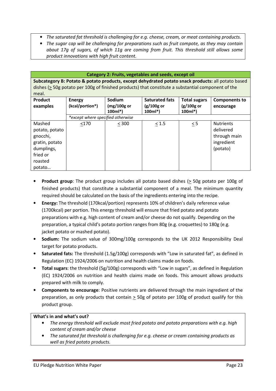- The saturated fat threshold is challenging for e.g. cheese, cream, or meat containing products.
- The sugar cap will be challenging for preparations such as fruit compote, as they may contain about 17g of sugars, of which 11g are coming from fruit. This threshold still allows some product innovations with high fruit content.

|                                                                                                                                                                                                                   | Category 2: Fruits, vegetables and seeds, except oil |                                     |                                                    |                                                 |                                                                         |  |  |  |
|-------------------------------------------------------------------------------------------------------------------------------------------------------------------------------------------------------------------|------------------------------------------------------|-------------------------------------|----------------------------------------------------|-------------------------------------------------|-------------------------------------------------------------------------|--|--|--|
| Subcategory B: Potato & potato products, except dehydrated potato snack products: all potato based<br>dishes (> 50g potato per 100g of finished products) that constitute a substantial component of the<br>meal. |                                                      |                                     |                                                    |                                                 |                                                                         |  |  |  |
| Product<br>examples                                                                                                                                                                                               | <b>Energy</b><br>(kcal/portion*)                     | Sodium<br>$(mg/100g$ or<br>$100ml*$ | <b>Saturated fats</b><br>$(g/100g)$ or<br>$100ml*$ | <b>Total sugars</b><br>$(g/100g$ or<br>$100ml*$ | <b>Components to</b><br>encourage                                       |  |  |  |
|                                                                                                                                                                                                                   | *except where specified otherwise                    |                                     |                                                    |                                                 |                                                                         |  |  |  |
| Mashed<br>potato, potato<br>gnocchi,<br>gratin, potato<br>dumplings,<br>fried or<br>roasted<br>potato                                                                                                             | < 170                                                | < 300                               | $< 1.5$                                            | $\leq$ 5                                        | <b>Nutrients</b><br>delivered<br>through main<br>ingredient<br>(potato) |  |  |  |

- Product group: The product group includes all potato based dishes (> 50g potato per 100g of finished products) that constitute a substantial component of a meal. The minimum quantity required should be calculated on the basis of the ingredients entering into the recipe.
- Energy: The threshold (170kcal/portion) represents 10% of children's daily reference value (1700kcal) per portion. This energy threshold will ensure that fried potato and potato preparations with e.g. high content of cream and/or cheese do not qualify. Depending on the preparation, a typical child's potato portion ranges from 80g (e.g. croquettes) to 180g (e.g. jacket potato or mashed potato).
- Sodium: The sodium value of 300mg/100g corresponds to the UK 2012 Responsibility Deal target for potato products.
- Saturated fats: The threshold (1.5g/100g) corresponds with "Low in saturated fat", as defined in Regulation (EC) 1924/2006 on nutrition and health claims made on foods.
- Total sugars: the threshold (5g/100g) corresponds with "Low in sugars", as defined in Regulation (EC) 1924/2006 on nutrition and health claims made on foods. This amount allows products prepared with milk to comply.
- Components to encourage: Positive nutrients are delivered through the main ingredient of the preparation, as only products that contain  $\geq$  50g of potato per 100g of product qualify for this product group.

- The energy threshold will exclude most fried potato and potato preparations with e.g. high content of cream and/or cheese
- The saturated fat threshold is challenging for e.g. cheese or cream containing products as well as fried potato products.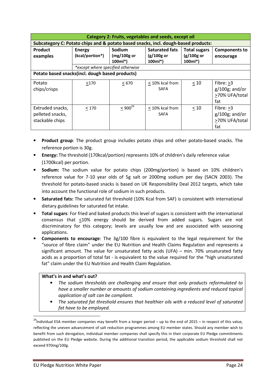| Category 2: Fruits, vegetables and seeds, except oil                               |                                                                                                        |                           |                                |                          |                                                               |  |  |  |
|------------------------------------------------------------------------------------|--------------------------------------------------------------------------------------------------------|---------------------------|--------------------------------|--------------------------|---------------------------------------------------------------|--|--|--|
| Subcategory C: Potato chips and & potato based snacks, incl. dough-based products: |                                                                                                        |                           |                                |                          |                                                               |  |  |  |
| <b>Product</b>                                                                     | <b>Saturated fats</b><br><b>Sodium</b><br><b>Total sugars</b><br><b>Energy</b><br><b>Components to</b> |                           |                                |                          |                                                               |  |  |  |
| examples                                                                           | (kcal/portion*)                                                                                        | $(mg/100g$ or<br>$100ml*$ | $(g/100g$ or<br>$100ml*$       | $(g/100g)$ or<br>100ml*) | encourage                                                     |  |  |  |
|                                                                                    | *except where specified otherwise                                                                      |                           |                                |                          |                                                               |  |  |  |
| Potato based snacks(incl. dough based products)                                    |                                                                                                        |                           |                                |                          |                                                               |  |  |  |
| Potato<br>chips/crisps                                                             | <170                                                                                                   | < 670                     | < 10% kcal from<br><b>SAFA</b> | < 10                     | Fibre: $\geq$ 3<br>$g/100g$ ; and/or<br>>70% UFA/total<br>fat |  |  |  |
| Extruded snacks,<br>pelleted snacks,<br>stackable chips                            | < 170                                                                                                  | $< 900^{24}$              | < 10% kcal from<br><b>SAFA</b> | < 10                     | Fibre: >3<br>$g/100g$ ; and/or<br>>70% UFA/total<br>fat       |  |  |  |

- Product group: The product group includes potato chips and other potato-based snacks. The reference portion is 30g.
- Energy: The threshold (170kcal/portion) represents 10% of children's daily reference value (1700kcal) per portion.
- Sodium: The sodium value for potato chips (200mg/portion) is based on 10% children's reference value for 7-10 year olds of 5g salt or 2000mg sodium per day (SACN 2003). The threshold for potato-based snacks is based on UK Responsibility Deal 2012 targets, which take into account the functional role of sodium in such products.
- Saturated fats: The saturated fat threshold (10% Kcal from SAF) is consistent with international dietary guidelines for saturated fat intake.
- **Total sugars:** For fried and baked products this level of sugars is consistent with the international consensus that <10% energy should be derived from added sugars. Sugars are not discriminatory for this category; levels are usually low and are associated with seasoning applications.
- Components to encourage: The 3g/100 fibre is equivalent to the legal requirement for the "source of fibre claim" under the EU Nutrition and Health Claims Regulation and represents a significant amount. The value for unsaturated fatty acids (UFA) – min. 70% unsaturated fatty acids as a proportion of total fat - is equivalent to the value required for the "high unsaturated fat" claim under the EU Nutrition and Health Claim Regulation.

- The sodium thresholds are challenging and ensure that only products reformulated to have a smaller number or amounts of sodium containing ingredients and reduced topical application of salt can be compliant.
- The saturated fat threshold ensures that healthier oils with a reduced level of saturated fat have to be employed.

l

 $24$ Individual ESA member companies may benefit from a longer period – up to the end of 2015 – in respect of this value, reflecting the uneven advancement of salt reduction programmes among EU member states. Should any member wish to benefit from such derogation, individual member companies shall specify this in their corporate EU Pledge commitments published on the EU Pledge website. During the additional transition period, the applicable sodium threshold shall not exceed 970mg/100g.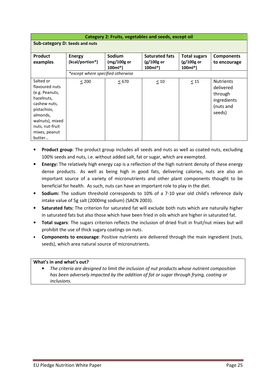| Category 2: Fruits, vegetables and seeds, except oil |                                   |                         |                           |                          |                   |  |  |  |
|------------------------------------------------------|-----------------------------------|-------------------------|---------------------------|--------------------------|-------------------|--|--|--|
| <b>Sub-category D: Seeds and nuts</b>                |                                   |                         |                           |                          |                   |  |  |  |
|                                                      |                                   |                         |                           |                          |                   |  |  |  |
| Product                                              | <b>Energy</b>                     | Sodium                  | <b>Saturated fats</b>     | <b>Total sugars</b>      | <b>Components</b> |  |  |  |
| examples                                             | (kcal/portion*)                   | (mg/100g or<br>$100ml*$ | $(g/100g)$ or<br>$100ml*$ | $(g/100g$ or<br>$100ml*$ | to encourage      |  |  |  |
|                                                      | *except where specified otherwise |                         |                           |                          |                   |  |  |  |
| Salted or                                            | < 200                             | < 670                   | $\leq 10$                 | $\leq 15$                | <b>Nutrients</b>  |  |  |  |
| flavoured nuts                                       |                                   |                         |                           |                          | delivered         |  |  |  |
| (e.g. Peanuts,                                       |                                   |                         |                           |                          | through           |  |  |  |
| hazelnuts,                                           |                                   |                         |                           |                          | ingredients       |  |  |  |
| cashew nuts,                                         |                                   |                         |                           |                          | (nuts and         |  |  |  |
| pistachios,                                          |                                   |                         |                           |                          | seeds)            |  |  |  |
| almonds,                                             |                                   |                         |                           |                          |                   |  |  |  |
| walnuts), mixed                                      |                                   |                         |                           |                          |                   |  |  |  |
| nuts, nut-fruit                                      |                                   |                         |                           |                          |                   |  |  |  |
| mixes, peanut                                        |                                   |                         |                           |                          |                   |  |  |  |
| butter                                               |                                   |                         |                           |                          |                   |  |  |  |

- Product group: The product group includes all seeds and nuts as well as coated nuts, excluding 100% seeds and nuts, i.e. without added salt, fat or sugar, which are exempted.
- **Energy:** The relatively high energy cap is a reflection of the high nutrient density of these energy dense products. As well as being high in good fats, delivering calories, nuts are also an important source of a variety of micronutrients and other plant components thought to be beneficial for health. As such, nuts can have an important role to play in the diet.
- Sodium: The sodium threshold corresponds to 10% of a 7-10 year old child's reference daily intake value of 5g salt (2000mg sodium) (SACN 2003).
- Saturated fats: The criterion for saturated fat will exclude both nuts which are naturally higher in saturated fats but also those which have been fried in oils which are higher in saturated fat.
- Total sugars: The sugars criterion reflects the inclusion of dried fruit in fruit/nut mixes but will prohibit the use of thick sugary coatings on nuts.
- Components to encourage: Positive nutrients are delivered through the main ingredient (nuts, seeds), which area natural source of micronutrients.

• The criteria are designed to limit the inclusion of nut products whose nutrient composition has been adversely impacted by the addition of fat or sugar through frying, coating or inclusions.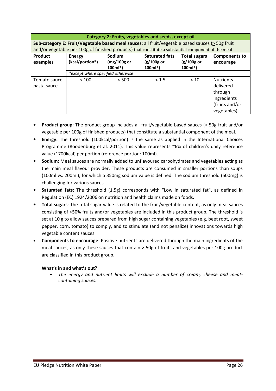| Category 2: Fruits, vegetables and seeds, except oil |                                                                                                        |                            |                           |                          |                                                                                          |  |  |  |  |
|------------------------------------------------------|--------------------------------------------------------------------------------------------------------|----------------------------|---------------------------|--------------------------|------------------------------------------------------------------------------------------|--|--|--|--|
|                                                      | Sub-category E: Fruit/Vegetable based meal sauces: all fruit/vegetable based sauces ( $\geq$ 50g fruit |                            |                           |                          |                                                                                          |  |  |  |  |
|                                                      | and/or vegetable per 100g of finished products) that constitute a substantial component of the meal    |                            |                           |                          |                                                                                          |  |  |  |  |
| Product                                              | <b>Energy</b>                                                                                          | Sodium                     | <b>Saturated fats</b>     | <b>Total sugars</b>      | <b>Components to</b>                                                                     |  |  |  |  |
| examples                                             | (kcal/portion*)                                                                                        | $(mg/100g)$ or<br>$100ml*$ | $(g/100g)$ or<br>$100ml*$ | $(g/100g$ or<br>$100ml*$ | encourage                                                                                |  |  |  |  |
|                                                      | *except where specified otherwise                                                                      |                            |                           |                          |                                                                                          |  |  |  |  |
| Tomato sauce,<br>pasta sauce                         | < 100                                                                                                  | < 500                      | $\leq 1.5$                | < 10                     | <b>Nutrients</b><br>delivered<br>through<br>ingredients<br>(fruits and/or<br>vegetables) |  |  |  |  |

- Product group: The product group includes all fruit/vegetable based sauces (> 50g fruit and/or vegetable per 100g of finished products) that constitute a substantial component of the meal.
- Energy: The threshold (100kcal/portion) is the same as applied in the International Choices Programme (Roodenburg et al. 2011). This value represents ~6% of children's daily reference value (1700kcal) per portion (reference portion: 100ml).
- Sodium: Meal sauces are normally added to unflavoured carbohydrates and vegetables acting as the main meal flavour provider. These products are consumed in smaller portions than soups (100ml vs. 200ml), for which a 350mg sodium value is defined. The sodium threshold (500mg) is challenging for various sauces.
- Saturated fats: The threshold (1.5g) corresponds with "Low in saturated fat", as defined in Regulation (EC) 1924/2006 on nutrition and health claims made on foods.
- Total sugars: The total sugar value is related to the fruit/vegetable content, as only meal sauces consisting of >50% fruits and/or vegetables are included in this product group. The threshold is set at 10 g to allow sauces prepared from high sugar containing vegetables (e.g. beet root, sweet pepper, corn, tomato) to comply, and to stimulate (and not penalize) innovations towards high vegetable content sauces.
- Components to encourage: Positive nutrients are delivered through the main ingredients of the meal sauces, as only these sauces that contain > 50g of fruits and vegetables per 100g product are classified in this product group.

The energy and nutrient limits will exclude a number of cream, cheese and meatcontaining sauces.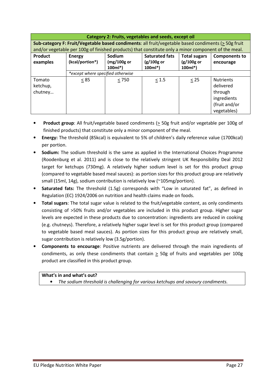|                                                                                                           | Category 2: Fruits, vegetables and seeds, except oil                                                |                            |                           |                          |                                                                                         |  |  |  |
|-----------------------------------------------------------------------------------------------------------|-----------------------------------------------------------------------------------------------------|----------------------------|---------------------------|--------------------------|-----------------------------------------------------------------------------------------|--|--|--|
| Sub-category F: Fruit/Vegetable based condiments: all fruit/vegetable based condiments ( $\geq$ 50g fruit |                                                                                                     |                            |                           |                          |                                                                                         |  |  |  |
|                                                                                                           | and/or vegetable per 100g of finished products) that constitute only a minor component of the meal. |                            |                           |                          |                                                                                         |  |  |  |
| Product                                                                                                   | Sodium<br><b>Saturated fats</b><br><b>Total sugars</b><br><b>Components to</b><br>Energy            |                            |                           |                          |                                                                                         |  |  |  |
| examples                                                                                                  | (kcal/portion*)                                                                                     | $(mg/100g)$ or<br>$100ml*$ | $(g/100g$ or<br>$100ml^*$ | $(g/100g$ or<br>$100ml*$ | encourage                                                                               |  |  |  |
|                                                                                                           | *except where specified otherwise                                                                   |                            |                           |                          |                                                                                         |  |  |  |
| Tomato<br>ketchup,<br>chutney                                                                             | < 85                                                                                                | < 750                      | < 1.5                     | < 25                     | <b>Nutrients</b><br>delivered<br>through<br>ingredients<br>(fruit and/or<br>vegetables) |  |  |  |

- **Product group:** All fruit/vegetable based condiments ( $\geq$  50g fruit and/or vegetable per 100g of finished products) that constitute only a minor component of the meal.
- Energy: The threshold (85kcal) is equivalent to 5% of children's daily reference value (1700kcal) per portion.
- Sodium: The sodium threshold is the same as applied in the International Choices Programme (Roodenburg et al. 2011) and is close to the relatively stringent UK Responsibility Deal 2012 target for ketchups (730mg). A relatively higher sodium level is set for this product group (compared to vegetable based meal sauces): as portion sizes for this product group are relatively small (15ml, 14g), sodium contribution is relatively low (~105mg/portion).
- Saturated fats: The threshold (1.5g) corresponds with "Low in saturated fat", as defined in Regulation (EC) 1924/2006 on nutrition and health claims made on foods.
- Total sugars: The total sugar value is related to the fruit/vegetable content, as only condiments consisting of >50% fruits and/or vegetables are included in this product group. Higher sugar levels are expected in these products due to concentration: ingredients are reduced in cooking (e.g. chutneys). Therefore, a relatively higher sugar level is set for this product group (compared to vegetable based meal sauces). As portion sizes for this product group are relatively small, sugar contribution is relatively low (3.5g/portion).
- Components to encourage: Positive nutrients are delivered through the main ingredients of condiments, as only these condiments that contain > 50g of fruits and vegetables per 100g product are classified in this product group.

The sodium threshold is challenging for various ketchups and savoury condiments.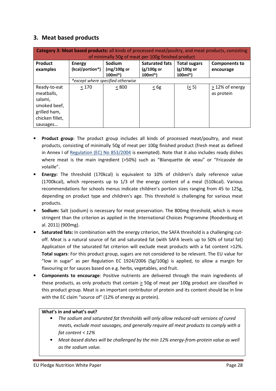## 3. Meat based products

| <b>Category 3: Meat based products:</b> all kinds of processed meat/poultry, and meat products, consisting<br>of minimally 50g of meat per 100g finished product |                           |                                      |                                                    |                                                 |                                    |  |  |
|------------------------------------------------------------------------------------------------------------------------------------------------------------------|---------------------------|--------------------------------------|----------------------------------------------------|-------------------------------------------------|------------------------------------|--|--|
| Product<br>examples                                                                                                                                              | Energy<br>(kcal/portion*) | Sodium<br>$(mg/100g)$ or<br>$100ml*$ | <b>Saturated fats</b><br>$(g/100g)$ or<br>$100ml*$ | <b>Total sugars</b><br>$(g/100g$ or<br>$100ml*$ | <b>Components to</b><br>encourage  |  |  |
|                                                                                                                                                                  |                           | *except where specified otherwise    |                                                    |                                                 |                                    |  |  |
| Ready-to-eat<br>meatballs,<br>salami,<br>smoked beef,<br>grilled ham,<br>chicken fillet,<br>sausages                                                             | < 170                     | < 800                                | $\leq 6g$                                          | (5)                                             | $\geq$ 12% of energy<br>as protein |  |  |

- Product group: The product group includes all kinds of processed meat/poultry, and meat products, consisting of minimally 50g of meat per 100g finished product (fresh meat as defined in Annex I of Regulation (EC) No 853/2004 is exempted). Note that it also includes ready dishes where meat is the main ingredient (>50%) such as "Blanquette de veau" or "Fricassée de volaille".
- Energy: The threshold (170kcal) is equivalent to 10% of children's daily reference value (1700kcal), which represents up to 1/3 of the energy content of a meal (510kcal). Various recommendations for schools menus indicate children's portion sizes ranging from 45 to 125g, depending on product type and children's age. This threshold is challenging for various meat products.
- Sodium: Salt (sodium) is necessary for meat preservation. The 800mg threshold, which is more stringent than the criterion as applied in the International Choices Programme (Roodenburg et al. 2011) (900mg).
- Saturated fats: In combination with the energy criterion, the SAFA threshold is a challenging cutoff. Meat is a natural source of fat and saturated fat (with SAFA levels up to 50% of total fat) Application of the saturated fat criterion will exclude meat products with a fat content >12%. Total sugars: For this product group, sugars are not considered to be relevant. The EU value for "low in sugar" as per Regulation EC 1924/2006 (5g/100g) is applied, to allow a margin for flavouring or for sauces based on e.g. herbs, vegetables, and fruit.
- Components to encourage: Positive nutrients are delivered through the main ingredients of these products, as only products that contain > 50g of meat per 100g product are classified in this product group. Meat is an important contributor of protein and its content should be in line with the EC claim "source of" (12% of energy as protein).

- The sodium and saturated fat thresholds will only allow reduced-salt versions of cured meats, exclude most sausages, and generally require all meat products to comply with a fat content < 12%
- Meat-based dishes will be challenged by the min 12% energy-from-protein value as well as the sodium value.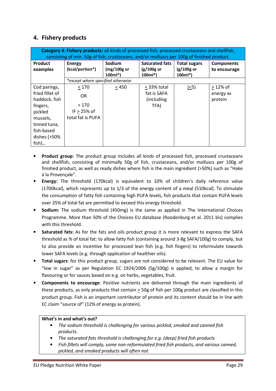## 4. Fishery products

| Category 4: Fishery products: all kinds of processed fish, processed crustaceans and shellfish,<br>consisting of min. 50g of fish, crustaceans, and/or molluscs per 100g of finished product. |                                                            |                                             |                                                   |                                                 |                                    |  |  |
|-----------------------------------------------------------------------------------------------------------------------------------------------------------------------------------------------|------------------------------------------------------------|---------------------------------------------|---------------------------------------------------|-------------------------------------------------|------------------------------------|--|--|
| <b>Product</b><br>examples                                                                                                                                                                    | <b>Energy</b><br>(kcal/portion*)                           | <b>Sodium</b><br>$(mg/100g)$ or<br>$100ml*$ | <b>Saturated fats</b><br>$(g/100g$ or<br>$100ml*$ | <b>Total sugars</b><br>$(g/100g$ or<br>$100ml*$ | <b>Components</b><br>to encourage  |  |  |
|                                                                                                                                                                                               | *except where specified otherwise                          |                                             |                                                   |                                                 |                                    |  |  |
| Cod parings,<br>fried fillet of<br>haddock, fish<br>fingers,<br>pickled<br>mussels,<br>tinned tuna,<br>fish-based<br>dishes (>50%<br>fish)                                                    | < 170<br>OR.<br>>170<br>IF $> 25%$ of<br>total fat is PUFA | < 450                                       | < 33% total<br>fat is SAFA<br>(including)<br>TFA) | ( <sub>5</sub> )                                | $>12\%$ of<br>energy as<br>protein |  |  |

- **Product group:** The product group includes all kinds of processed fish, processed crustaceans and shellfish, consisting of minimally 50g of fish, crustaceans, and/or molluscs per 100g of finished product, as well as ready dishes where fish is the main ingredient (>50%) such as "Hake à la Provençale".
- Energy: The threshold (170kcal) is equivalent to 10% of children's daily reference value (1700kcal), which represents up to 1/3 of the energy content of a meal (510kcal). To stimulate the consumption of fatty fish containing high PUFA levels, fish products that contain PUFA levels over 25% of total fat are permitted to exceed this energy threshold.
- Sodium: The sodium threshold (450mg) is the same as applied in The International Choices Programme. More than 50% of the Choices EU database (Roodenburg et al. 2011 bis) complies with this threshold.
- Saturated fats: As for the fats and oils product group it is more relevant to express the SAFA threshold as % of total fat: to allow fatty fish (containing around 3-8g SAFA/100g) to comply, but to also provide an incentive for processed lean fish (e.g. fish fingers) to reformulate towards lower SAFA levels (e.g. through application of healthier oils).
- Total sugars: for this product group, sugars are not considered to be relevant. The EU value for "low in sugar" as per Regulation EC 1924/2006 (5g/100g) is applied, to allow a margin for flavouring or for sauces based on e.g. on herbs, vegetables, fruit.
- Components to encourage: Positive nutrients are delivered through the main ingredients of these products, as only products that contain  $\geq$  50g of fish per 100g product are classified in this product group. Fish is an important contributor of protein and its content should be in line with EC claim "source of" (12% of energy as protein).

- The sodium threshold is challenging for various pickled, smoked and canned fish products.
- The saturated fats threshold is challenging for e.g. (deep) fried fish products
- Fish fillets will comply, some non-reformulated fried fish products, and various canned, pickled, and smoked products will often not.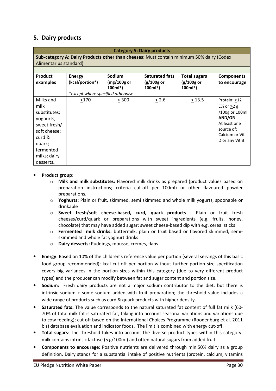## 5. Dairy products

|                                                                                                                                             | <b>Category 5: Dairy products</b> |                                      |                                                  |                                                 |                                                                                                                            |  |  |  |
|---------------------------------------------------------------------------------------------------------------------------------------------|-----------------------------------|--------------------------------------|--------------------------------------------------|-------------------------------------------------|----------------------------------------------------------------------------------------------------------------------------|--|--|--|
| Sub-category A: Dairy Products other than cheeses: Must contain minimum 50% dairy (Codex<br>Alimentarius standard)                          |                                   |                                      |                                                  |                                                 |                                                                                                                            |  |  |  |
|                                                                                                                                             |                                   |                                      |                                                  |                                                 |                                                                                                                            |  |  |  |
| <b>Product</b><br>examples                                                                                                                  | <b>Energy</b><br>(kcal/portion*)  | Sodium<br>$(mg/100g)$ or<br>$100ml*$ | <b>Saturated fats</b><br>$(g/100g$ or<br>100ml*) | <b>Total sugars</b><br>$(g/100g$ or<br>$100ml*$ | <b>Components</b><br>to encourage                                                                                          |  |  |  |
|                                                                                                                                             | *except where specified otherwise |                                      |                                                  |                                                 |                                                                                                                            |  |  |  |
| Milks and<br>milk<br>substitutes;<br>yoghurts;<br>sweet fresh/<br>soft cheese;<br>curd &<br>quark;<br>fermented<br>milks; dairy<br>desserts | < 170                             | < 300                                | < 2.6                                            | < 13.5                                          | Protein: >12<br>E% or $>2$ g<br>/100g or 100ml<br>AND/OR<br>At least one<br>source of:<br>Calcium or Vit<br>D or any Vit B |  |  |  |

#### • Product group:

- $\circ$  Milk and milk substitutes: Flavored milk drinks as prepared (product values based on preparation instructions; criteria cut-off per 100ml) or other flavoured powder preparations.
- o Yoghurts: Plain or fruit, skimmed, semi skimmed and whole milk yogurts, spoonable or drinkable
- o Sweet fresh/soft cheese-based, curd, quark products : Plain or fruit fresh cheeses/curd/quark or preparations with sweet ingredients (e.g. fruits, honey, chocolate) that may have added sugar; sweet cheese-based dip with e.g. cereal sticks
- o Fermented milk drinks: buttermilk, plain or fruit based or flavored skimmed, semiskimmed and whole fat yoghurt drinks
- o Dairy desserts: Puddings, mousse, crèmes, flans
- Energy: Based on 10% of the children's reference value per portion (several servings of this basic food group recommended); kcal cut-off per portion without further portion size specification covers big variances in the portion sizes within this category (due to very different product types) and the producer can modify between fat and sugar content and portion size.
- **Sodium:** Fresh dairy products are not a major sodium contributor to the diet, but there is intrinsic sodium + some sodium added with fruit preparation; the threshold value includes a wide range of products such as curd & quark products with higher density.
- Saturated fats: The value corresponds to the natural saturated fat content of full fat milk (60-70% of total milk fat is saturated fat, taking into account seasonal variations and variations due to cow feeding); cut off based on the International Choices Programme (Roodenburg et al. 2011 bis) database evaluation and indicator foods. The limit is combined with energy cut-off.
- Total sugars: The threshold takes into account the diverse product types within this category; milk contains intrinsic lactose (5  $g/100$ ml) and often natural sugars from added fruit.
- Components to encourage: Positive nutrients are delivered through min.50% dairy as a group definition. Dairy stands for a substantial intake of positive nutrients (protein, calcium, vitamins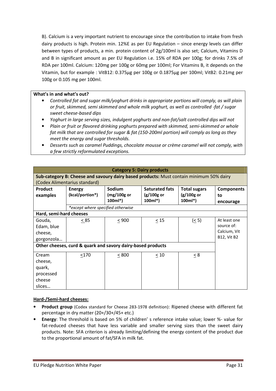B). Calcium is a very important nutrient to encourage since the contribution to intake from fresh dairy products is high. Protein min. 12%E as per EU Regulation – since energy levels can differ between types of products, a min. protein content of 2g/100ml is also set; Calcium, Vitamins D and B in significant amount as per EU Regulation i.e. 15% of RDA per 100g; for drinks 7.5% of RDA per 100ml. Calcium: 120mg per 100g or 60mg per 100ml; For Vitamins B, it depends on the Vitamin, but for example : VitB12: 0.375µg per 100g or 0.1875µg per 100ml; VitB2: 0.21mg per 100g or 0.105 mg per 100ml.

#### What's in and what's out?

- Controlled fat and sugar milk/yoghurt drinks in appropriate portions will comply, as will plain or fruit, skimmed, semi skimmed and whole milk yoghurt, as well as controlled -fat / sugar sweet cheese-based dips
- Yoghurt in large serving sizes, indulgent yoghurts and non-fat/salt controlled dips will not
- Plain or fruit or flavored drinking yoghurts prepared with skimmed, semi-skimmed or whole fat milk that are controlled for sugar & fat (150-200ml portion) will comply as long as they meet the energy and sugar thresholds.
- Desserts such as caramel Puddings, chocolate mousse or crème caramel will not comply, with a few strictly reformulated exceptions.

| <b>Category 5: Dairy products</b>                                                                                        |                                                             |                                      |                                                  |                                                 |                                                                  |  |  |  |
|--------------------------------------------------------------------------------------------------------------------------|-------------------------------------------------------------|--------------------------------------|--------------------------------------------------|-------------------------------------------------|------------------------------------------------------------------|--|--|--|
| Sub-category B: Cheese and savoury dairy based products: Must contain minimum 50% dairy<br>(Codex Alimentarius standard) |                                                             |                                      |                                                  |                                                 |                                                                  |  |  |  |
| <b>Product</b><br>examples                                                                                               | <b>Energy</b><br>(kcal/portion*)                            | Sodium<br>$(mg/100g)$ or<br>$100ml*$ | <b>Saturated fats</b><br>$(g/100g$ or<br>100ml*) | <b>Total sugars</b><br>$(g/100g$ or<br>$100ml*$ | <b>Components</b><br>to<br>encourage                             |  |  |  |
|                                                                                                                          | *except where specified otherwise                           |                                      |                                                  |                                                 |                                                                  |  |  |  |
| Hard, semi-hard cheeses                                                                                                  |                                                             |                                      |                                                  |                                                 |                                                                  |  |  |  |
| Gouda,<br>Edam, blue<br>cheese,<br>gorgonzola                                                                            | < 85                                                        | < 900                                | $\leq 15$                                        | (55)                                            | At least one<br>source of:<br>Calcium, Vit<br><b>B12, Vit B2</b> |  |  |  |
|                                                                                                                          | Other cheeses, curd & quark and savory dairy-based products |                                      |                                                  |                                                 |                                                                  |  |  |  |
| Cream<br>cheese,<br>quark,<br>processed<br>cheese<br>slices                                                              | < 170                                                       | < 800                                | < 10                                             | $\leq 8$                                        |                                                                  |  |  |  |

#### Hard-/Semi-hard cheeses:

- Product group (Codex standard for Cheese 283-1978 definition): Ripened cheese with different fat percentage in dry matter (20+/30+/45+ etc.)
- Energy: The threshold is based on 5% of children' s reference intake value; lower %- value for fat-reduced cheeses that have less variable and smaller serving sizes than the sweet dairy products. Note: SFA criterion is already limiting/defining the energy content of the product due to the proportional amount of fat/SFA in milk fat.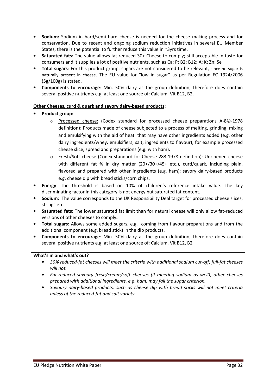- Sodium: Sodium in hard/semi hard cheese is needed for the cheese making process and for conservation. Due to recent and ongoing sodium reduction initiatives in several EU Member States, there is the potential to further reduce this value in ~3yrs time.
- Saturated fats: The value allows fat-reduced 30+ Cheese to comply; still acceptable in taste for consumers and it supplies a lot of positive nutrients, such as Ca; P; B2; B12; A; K; Zn; Se
- Total sugars: For this product group, sugars are not considered to be relevant, since no sugar is naturally present in cheese. The EU value for "low in sugar" as per Regulation EC 1924/2006 (5g/100g) is stated.
- Components to encourage: Min. 50% dairy as the group definition; therefore does contain several positive nutrients e.g. at least one source of: Calcium, Vit B12, B2.

#### Other Cheeses, curd & quark and savory dairy-based products:

- Product group:
	- o Processed cheese: (Codex standard for processed cheese preparations A-8©-1978 definition): Products made of cheese subjected to a process of melting, grinding, mixing and emulsifying with the aid of heat that may have other ingredients added (e.g. other dairy ingredients/whey, emulsifiers, salt, ingredients to flavour), for example processed cheese slice, spread and preparations (e.g. with ham).
	- o Fresh/Soft cheese (Codex standard for Cheese 283-1978 definition): Unripened cheese with different fat % in dry matter (20+/30+/45+ etc.), curd/quark, including plain, flavored and prepared with other ingredients (e.g. ham); savory dairy-based products e.g. cheese dip with bread sticks/corn chips.
- Energy: The threshold is based on 10% of children's reference intake value. The key discriminating factor in this category is not energy but saturated fat content.
- Sodium: The value corresponds to the UK Responsibility Deal target for processed cheese slices, strings etc.
- Saturated fats: The lower saturated fat limit than for natural cheese will only allow fat-reduced versions of other cheeses to comply.
- Total sugars: Allows some added sugars, e.g. coming from flavour preparations and from the additional component (e.g. bread stick) in the dip products.
- Components to encourage: Min. 50% dairy as the group definition; therefore does contain several positive nutrients e.g. at least one source of: Calcium, Vit B12, B2

- 30% reduced-fat cheeses will meet the criteria with additional sodium cut-off; full-fat cheeses will not.
- Fat-reduced savoury fresh/cream/soft cheeses (if meeting sodium as well), other cheeses prepared with additional ingredients, e.g. ham, may fail the sugar criterion.
- Savoury dairy-based products, such as cheese dip with bread sticks will not meet criteria unless of the reduced-fat and salt variety.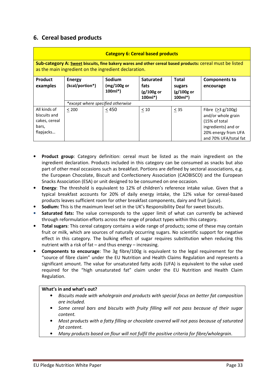## 6. Cereal based products

|                                                                                                                                                                   | <b>Category 6: Cereal based products</b> |                                      |                                                      |                                                     |                                                                                                                                    |  |  |  |  |
|-------------------------------------------------------------------------------------------------------------------------------------------------------------------|------------------------------------------|--------------------------------------|------------------------------------------------------|-----------------------------------------------------|------------------------------------------------------------------------------------------------------------------------------------|--|--|--|--|
| Sub-category A: Sweet biscuits, fine bakery wares and other cereal based products: cereal must be listed<br>as the main ingredient on the ingredient declaration. |                                          |                                      |                                                      |                                                     |                                                                                                                                    |  |  |  |  |
| <b>Product</b><br>examples                                                                                                                                        | <b>Energy</b><br>(kcal/portion*)         | Sodium<br>$(mg/100g)$ or<br>$100ml*$ | <b>Saturated</b><br>fats<br>$(g/100g$ or<br>$100ml*$ | <b>Total</b><br>sugars<br>$(g/100g)$ or<br>$100ml*$ | <b>Components to</b><br>encourage                                                                                                  |  |  |  |  |
|                                                                                                                                                                   | *except where specified otherwise        |                                      |                                                      |                                                     |                                                                                                                                    |  |  |  |  |
| All kinds of<br>biscuits and<br>cakes, cereal<br>bars,<br>flapjacks                                                                                               | < 200                                    | $<450$                               | < 10                                                 | $\leq$ 35                                           | Fibre $(>3 g/100 g)$<br>and/or whole grain<br>(15% of total<br>ingredients) and or<br>20% energy from UFA<br>and 70% UFA/total fat |  |  |  |  |

- **Product group:** Category definition: cereal must be listed as the main ingredient on the ingredient declaration. Products included in this category can be consumed as snacks but also part of other meal occasions such as breakfast. Portions are defined by sectoral associations, e.g. the European Chocolate, Biscuit and Confectionery Association (CAOBISCO) and the European Snacks Association (ESA) or unit designed to be consumed on one occasion.
- Energy: The threshold is equivalent to 12% of children's reference intake value. Given that a typical breakfast accounts for 20% of daily energy intake, the 12% value for cereal-based products leaves sufficient room for other breakfast components, dairy and fruit (juice).
- Sodium: This is the maximum level set in the UK's Responsibility Deal for sweet biscuits.
- Saturated fats: The value corresponds to the upper limit of what can currently be achieved through reformulation efforts across the range of product types within this category.
- Total sugars: This cereal category contains a wide range of products; some of these may contain fruit or milk, which are sources of naturally occurring sugars. No scientific support for negative effect in this category. The bulking effect of sugar requires substitution when reducing this nutrient with a risk of fat – and thus energy – increasing.
- Components to encourage: The 3g fibre/100g is equivalent to the legal requirement for the "source of fibre claim" under the EU Nutrition and Health Claims Regulation and represents a significant amount. The value for unsaturated fatty acids (UFA) is equivalent to the value used required for the "high unsaturated fat" claim under the EU Nutrition and Health Claim Regulation.

- Biscuits made with wholegrain and products with special focus on better fat composition are included.
- Some cereal bars and biscuits with fruity filling will not pass because of their sugar content.
- Most products with a fatty filling or chocolate covered will not pass because of saturated fat content.
- Many products based on flour will not fulfil the positive criteria for fibre/wholegrain.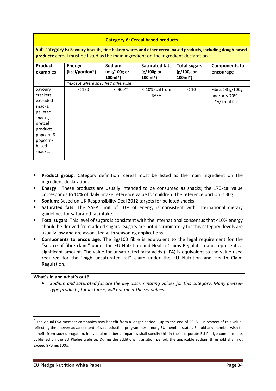#### Category 6: Cereal based products

Sub-category B: Savoury biscuits, fine bakery wares and other cereal based products, including dough-based products: cereal must be listed as the main ingredient on the ingredient declaration.

| Product<br>examples                                                                                                                    | <b>Energy</b><br>(kcal/portion*)  | Sodium<br>$(mg/100g)$ or<br>$100ml*$ | <b>Saturated fats</b><br>$(g/100g)$ or<br>$100ml*$ | <b>Total sugars</b><br>(g/100g or<br>$100ml*$ | <b>Components to</b><br>encourage                           |
|----------------------------------------------------------------------------------------------------------------------------------------|-----------------------------------|--------------------------------------|----------------------------------------------------|-----------------------------------------------|-------------------------------------------------------------|
|                                                                                                                                        | *except where specified otherwise |                                      |                                                    |                                               |                                                             |
| Savoury<br>crackers,<br>extruded<br>snacks,<br>pelleted<br>snacks,<br>pretzel<br>products,<br>popcorn &<br>popcorn-<br>based<br>snacks | $\leq 170$                        | $< 900^{25}$                         | < 10%kcal from<br><b>SAFA</b>                      | $\leq 10$                                     | Fibre: $\geq$ 3 g/100g;<br>and/or $<$ 70%<br>UFA/ total fat |

- **Product group:** Category definition: cereal must be listed as the main ingredient on the ingredient declaration.
- **Energy:** These products are usually intended to be consumed as snacks; the 170kcal value corresponds to 10% of daily intake reference value for children. The reference portion is 30g.
- Sodium: Based on UK Responsibility Deal 2012 targets for pelleted snacks.
- Saturated fats: The SAFA limit of 10% of energy is consistent with international dietary guidelines for saturated fat intake.
- Total sugars: This level of sugars is consistent with the international consensus that <10% energy should be derived from added sugars. Sugars are not discriminatory for this category; levels are usually low and are associated with seasoning applications.
- Components to encourage: The 3g/100 fibre is equivalent to the legal requirement for the "source of fibre claim" under the EU Nutrition and Health Claims Regulation and represents a significant amount. The value for unsaturated fatty acids (UFA) is equivalent to the value used required for the "high unsaturated fat" claim under the EU Nutrition and Health Claim Regulation.

#### What's in and what's out?

 $\overline{a}$ 

• Sodium and saturated fat are the key discriminating values for this category. Many pretzeltype products, for instance, will not meet the set values.

<sup>&</sup>lt;sup>25</sup> Individual ESA member companies may benefit from a longer period – up to the end of 2015 – in respect of this value, reflecting the uneven advancement of salt reduction programmes among EU member states. Should any member wish to benefit from such derogation, individual member companies shall specify this in their corporate EU Pledge commitments published on the EU Pledge website. During the additional transition period, the applicable sodium threshold shall not exceed 970mg/100g.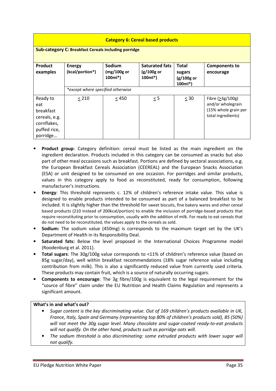| <b>Category 6: Cereal based products</b>                                                 |                                   |                                      |                                                   |                                             |                                                                                               |  |  |  |
|------------------------------------------------------------------------------------------|-----------------------------------|--------------------------------------|---------------------------------------------------|---------------------------------------------|-----------------------------------------------------------------------------------------------|--|--|--|
| <b>Sub-category C: Breakfast Cereals including porridge</b>                              |                                   |                                      |                                                   |                                             |                                                                                               |  |  |  |
| <b>Product</b><br>examples                                                               | <b>Energy</b><br>(kcal/portion*)  | Sodium<br>$(mg/100g)$ or<br>$100ml*$ | <b>Saturated fats</b><br>$(g/100g$ or<br>$100ml*$ | Total<br>sugars<br>$(g/100g$ or<br>$100ml*$ | <b>Components to</b><br>encourage                                                             |  |  |  |
|                                                                                          | *except where specified otherwise |                                      |                                                   |                                             |                                                                                               |  |  |  |
| Ready to<br>eat<br>breakfast<br>cereals, e.g.<br>cornflakes,<br>puffed rice,<br>porridge | < 210                             | < 450                                | $\leq$ 5                                          | < 30                                        | Fibre $(>\frac{3g}{100g})$<br>and/or wholegrain<br>(15% whole grain per<br>total ingredients) |  |  |  |

- Product group: Category definition: cereal must be listed as the main ingredient on the ingredient declaration. Products included in this category can be consumed as snacks but also part of other meal occasions such as breakfast. Portions are defined by sectoral associations, e.g. the European Breakfast Cereals Association (CEEREAL) and the European Snacks Association (ESA) or unit designed to be consumed on one occasion. For porridges and similar products, values in this category apply to food as reconstituted, ready for consumption, following manufacturer's instructions.
- Energy: This threshold represents c. 12% of children's reference intake value. This value is designed to enable products intended to be consumed as part of a balanced breakfast to be included. It is slightly higher than the threshold for sweet biscuits, fine bakery wares and other cereal based products (210 instead of 200kcal/portion) to enable the inclusion of porridge-based products that require reconstituting prior to consumption, usually with the addition of milk. For ready to eat cereals that do not need to be reconstituted, the values apply to the cereals as sold.
- Sodium: The sodium value (450mg) is corresponds to the maximum target set by the UK's Department of Health in its Responsibility Deal.
- Saturated fats: Below the level proposed in the International Choices Programme model (Roodenburg et al. 2011).
- Total sugars: The 30g/100g value corresponds to <11% of children's reference value (based on 85g sugar/day), well within breakfast recommendations (18% sugar reference value including contribution from milk). This is also a significantly reduced value from currently used criteria. These products may contain fruit, which is a source of naturally occurring sugars.
- Components to encourage: The 3g fibre/100g is equivalent to the legal requirement for the "source of fibre" claim under the EU Nutrition and Health Claims Regulation and represents a significant amount.

- Sugar content is the key discriminating value. Out of 169 children's products available in UK, France, Italy, Spain and Germany (representing top 80% of children's products sold), 85 (50%) will not meet the 30g sugar level. Many chocolate and sugar-coated ready-to-eat products will not qualify. On the other hand, products such as porridge oats will.
- The sodium threshold is also discriminating: some extruded products with lower sugar will not qualify.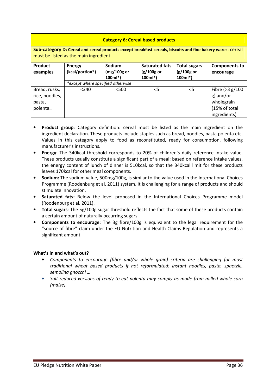#### Category 6: Cereal based products

Sub-category D: Cereal and cereal products except breakfast cereals, biscuits and fine bakery wares: cereal must be listed as the main ingredient.

| Product<br>examples                                  | <b>Energy</b><br>(kcal/portion*)  | Sodium<br>$(mg/100g)$ or<br>100ml*) | <b>Saturated fats</b><br>(g/100g or<br>$100ml*$ | <b>Total sugars</b><br>$(g/100g$ or<br>$100ml*$ | <b>Components to</b><br>encourage                                             |
|------------------------------------------------------|-----------------------------------|-------------------------------------|-------------------------------------------------|-------------------------------------------------|-------------------------------------------------------------------------------|
|                                                      | *except where specified otherwise |                                     |                                                 |                                                 |                                                                               |
| Bread, rusks,<br>rice, noodles,<br>pasta,<br>polenta | $340$                             | $500$                               | $\leq 5$                                        | $\leq 5$                                        | Fibre $(>3 g/100$<br>g) and/or<br>wholegrain<br>(15% of total<br>ingredients) |

- **Product group:** Category definition: cereal must be listed as the main ingredient on the ingredient declaration. These products include staples such as bread, noodles, pasta polenta etc. Values in this category apply to food as reconstituted, ready for consumption, following manufacturer's instructions.
- Energy: The 340kcal threshold corresponds to 20% of children's daily reference intake value. These products usually constitute a significant part of a meal: based on reference intake values, the energy content of lunch of dinner is 510kcal, so that the 340kcal limit for these products leaves 170kcal for other meal components.
- Sodium: The sodium value, 500mg/100g, is similar to the value used in the International Choices Programme (Roodenburg et al. 2011) system. It is challenging for a range of products and should stimulate innovation.
- Saturated fats: Below the level proposed in the International Choices Programme model (Roodenburg et al. 2011).
- Total sugars: The 5g/100g sugar threshold reflects the fact that some of these products contain a certain amount of naturally occurring sugars.
- Components to encourage: The 3g fibre/100g is equivalent to the legal requirement for the "source of fibre" claim under the EU Nutrition and Health Claims Regulation and represents a significant amount.

- Components to encourage (fibre and/or whole grain) criteria are challenging for most traditional wheat based products if not reformulated: instant noodles, pasta, spaetzle, semolina anocchi ...
- Salt reduced versions of ready to eat polenta may comply as made from milled whole corn (maize).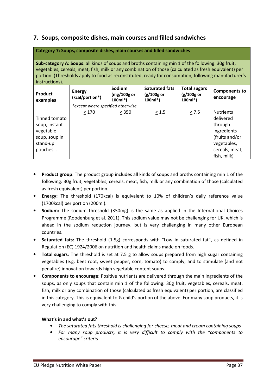## 7. Soups, composite dishes, main courses and filled sandwiches

| Category 7: Soups, composite dishes, main courses and filled sandwiches                                                                                                                                                                                                                                                                |                                   |                                     |                                                   |                                                 |                                                                                                                           |  |  |  |
|----------------------------------------------------------------------------------------------------------------------------------------------------------------------------------------------------------------------------------------------------------------------------------------------------------------------------------------|-----------------------------------|-------------------------------------|---------------------------------------------------|-------------------------------------------------|---------------------------------------------------------------------------------------------------------------------------|--|--|--|
| Sub-category A: Soups: all kinds of soups and broths containing min 1 of the following: 30g fruit,<br>vegetables, cereals, meat, fish, milk or any combination of those (calculated as fresh equivalent) per<br>portion. (Thresholds apply to food as reconstituted, ready for consumption, following manufacturer's<br>instructions). |                                   |                                     |                                                   |                                                 |                                                                                                                           |  |  |  |
| <b>Product</b><br>examples                                                                                                                                                                                                                                                                                                             | <b>Energy</b><br>(kcal/portion*)  | Sodium<br>$(mg/100g$ or<br>$100ml*$ | <b>Saturated fats</b><br>$(g/100g$ or<br>$100ml*$ | <b>Total sugars</b><br>$(g/100g$ or<br>$100ml*$ | <b>Components to</b><br>encourage                                                                                         |  |  |  |
|                                                                                                                                                                                                                                                                                                                                        | *except where specified otherwise |                                     |                                                   |                                                 |                                                                                                                           |  |  |  |
| Tinned tomato<br>soup, instant<br>vegetable<br>soup, soup in<br>stand-up<br>pouches                                                                                                                                                                                                                                                    | < 170                             | < 350                               | < 1.5                                             | $\leq$ 7.5                                      | <b>Nutrients</b><br>delivered<br>through<br>ingredients<br>(fruits and/or<br>vegetables,<br>cereals, meat,<br>fish, milk) |  |  |  |

- Product group: The product group includes all kinds of soups and broths containing min 1 of the following: 30g fruit, vegetables, cereals, meat, fish, milk or any combination of those (calculated as fresh equivalent) per portion.
- Energy: The threshold (170kcal) is equivalent to 10% of children's daily reference value (1700kcal) per portion (200ml).
- Sodium: The sodium threshold (350mg) is the same as applied in the International Choices Programme (Roodenburg et al. 2011). This sodium value may not be challenging for UK, which is ahead in the sodium reduction journey, but is very challenging in many other European countries.
- Saturated fats: The threshold (1.5g) corresponds with "Low in saturated fat", as defined in Regulation (EC) 1924/2006 on nutrition and health claims made on foods.
- Total sugars: The threshold is set at 7.5 g to allow soups prepared from high sugar containing vegetables (e.g. beet root, sweet pepper, corn, tomato) to comply, and to stimulate (and not penalize) innovation towards high vegetable content soups.
- Components to encourage: Positive nutrients are delivered through the main ingredients of the soups, as only soups that contain min 1 of the following: 30g fruit, vegetables, cereals, meat, fish, milk or any combination of those (calculated as fresh equivalent) per portion, are classified in this category. This is equivalent to ½ child's portion of the above. For many soup products, it is very challenging to comply with this.

- The saturated fats threshold is challenging for cheese, meat and cream containing soups
- For many soup products, it is very difficult to comply with the "components to encourage" criteria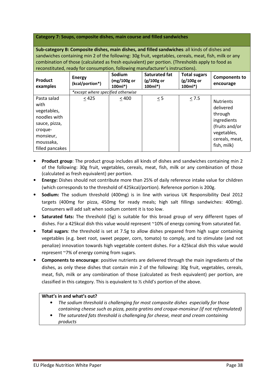Category 7: Soups, composite dishes, main course and filled sandwiches

Sub-category B: Composite dishes, main dishes, and filled sandwiches: all kinds of dishes and sandwiches containing min 2 of the following: 30g fruit, vegetables, cereals, meat, fish, milk or any combination of those (calculated as fresh equivalent) per portion. (Thresholds apply to food as reconstituted, ready for consumption, following manufacturer's instructions).

| Product<br>examples                                                                                                         | <b>Energy</b><br>(kcal/portion*)  | Sodium<br>$(mg/100g$ or<br>$100ml*$ | Saturated fat<br>(g/100g or<br>$100ml*$ | <b>Total sugars</b><br>$(g/100g$ or<br>$100ml*$ | <b>Components to</b><br>encourage                                                                                         |
|-----------------------------------------------------------------------------------------------------------------------------|-----------------------------------|-------------------------------------|-----------------------------------------|-------------------------------------------------|---------------------------------------------------------------------------------------------------------------------------|
|                                                                                                                             | *except where specified otherwise |                                     |                                         |                                                 |                                                                                                                           |
| Pasta salad<br>with<br>vegetables,<br>noodles with<br>sauce, pizza,<br>croque-<br>monsieur,<br>moussaka,<br>filled pancakes | $\leq 425$                        | < 400                               | $< 5\,$                                 | $\leq$ 7.5                                      | <b>Nutrients</b><br>delivered<br>through<br>ingredients<br>(fruits and/or<br>vegetables,<br>cereals, meat,<br>fish, milk) |

- Product group: The product group includes all kinds of dishes and sandwiches containing min 2 of the following: 30g fruit, vegetables, cereals, meat, fish, milk or any combination of those (calculated as fresh equivalent) per portion.
- Energy: Dishes should not contribute more than 25% of daily reference intake value for children (which corresponds to the threshold of 425kcal/portion). Reference portion is 200g.
- Sodium: The sodium threshold (400mg) is in line with various UK Responsibility Deal 2012 targets (400mg for pizza, 450mg for ready meals; high salt fillings sandwiches: 400mg). Consumers will add salt when sodium content it is too low.
- Saturated fats: The threshold (5g) is suitable for this broad group of very different types of dishes. For a 425kcal dish this value would represent ~10% of energy coming from saturated fat.
- Total sugars: the threshold is set at 7.5g to allow dishes prepared from high sugar containing vegetables (e.g. beet root, sweet pepper, corn, tomato) to comply, and to stimulate (and not penalize) innovation towards high vegetable content dishes. For a 425kcal dish this value would represent ~7% of energy coming from sugars.
- Components to encourage: positive nutrients are delivered through the main ingredients of the dishes, as only these dishes that contain min 2 of the following: 30g fruit, vegetables, cereals, meat, fish, milk or any combination of those (calculated as fresh equivalent) per portion, are classified in this category. This is equivalent to ½ child's portion of the above.

- The sodium threshold is challenging for most composite dishes especially for those containing cheese such as pizza, pasta gratins and croque-monsieur (if not reformulated)
- The saturated fats threshold is challenging for cheese, meat and cream containing products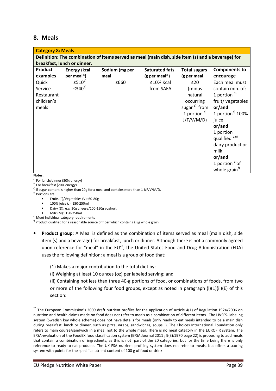## 8. Meals

| <b>Category 8: Meals</b>                                                                          |                          |                |                       |                     |                                 |  |  |  |  |
|---------------------------------------------------------------------------------------------------|--------------------------|----------------|-----------------------|---------------------|---------------------------------|--|--|--|--|
| Definition: The combination of items served as meal (main dish, side item (s) and a beverage) for |                          |                |                       |                     |                                 |  |  |  |  |
| breakfast, lunch or dinner.                                                                       |                          |                |                       |                     |                                 |  |  |  |  |
| Product                                                                                           | <b>Energy (kcal</b>      | Sodium (mg per | <b>Saturated fats</b> | <b>Total sugars</b> | <b>Components to</b>            |  |  |  |  |
| examples                                                                                          | per meal*)               | meal           | (g per meal*)         | (g per meal         | encourage                       |  |  |  |  |
| Quick                                                                                             | $\leq 510^{a}$           | ≤660           | $\leq$ 10% Kcal       | $\leq$ 20           | Each meal must                  |  |  |  |  |
| Service                                                                                           | $\leq$ 340 <sup>b)</sup> |                | from SAFA             | (minus              | contain min. of:                |  |  |  |  |
| Restaurant                                                                                        |                          |                |                       | natural             | 1 portion $d$                   |  |  |  |  |
| children's                                                                                        |                          |                |                       | occurring           | fruit/vegetables                |  |  |  |  |
| meals                                                                                             |                          |                |                       | sugar $c)$ from     | or/and                          |  |  |  |  |
|                                                                                                   |                          |                |                       | 1 portion $d$       | 1 portion $d$ 100%              |  |  |  |  |
|                                                                                                   |                          |                |                       | J/F/V/M/D)          | juice                           |  |  |  |  |
|                                                                                                   |                          |                |                       |                     | or/and                          |  |  |  |  |
|                                                                                                   |                          |                |                       |                     | 1 portion                       |  |  |  |  |
|                                                                                                   |                          |                |                       |                     | qualified <sup>d,e)</sup>       |  |  |  |  |
|                                                                                                   |                          |                |                       |                     | dairy product or                |  |  |  |  |
|                                                                                                   |                          |                |                       |                     | milk                            |  |  |  |  |
|                                                                                                   |                          |                |                       |                     | or/and                          |  |  |  |  |
|                                                                                                   |                          |                |                       |                     | 1 portion $d$ <sup>d</sup> ) of |  |  |  |  |
|                                                                                                   |                          |                |                       |                     | whole grain <sup>f)</sup>       |  |  |  |  |

Notes:

 $\overline{\phantom{0}}$ 

a) For lunch/dinner (30% energy)

b) For breakfast (20% energy)

 $\cdot$  If sugar content is higher than 20g for a meal and contains more than 1 J/F/V/M/D.

<sup>d)</sup> Portions are:

- Fruits (F)/Vegetables (V): 60-80g
- 100% juice (J): 150-250ml
- Dairy (D): e.g. 30g cheese/100-150g yoghurt
- Milk (M): 150-250ml
- e) Meet individual category requirements

f) Product qualified for a reasonable source of fiber which contains ≥ 8g whole grain

- **Product group:** A Meal is defined as the combination of items served as meal (main dish, side item (s) and a beverage) for breakfast, lunch or dinner. Although there is not a commonly agreed upon reference for "meal" in the  $EU^{26}$ , the United States Food and Drug Administration (FDA) uses the following definition: a meal is a group of food that:
	- (1) Makes a major contribution to the total diet by:

(i) Weighing at least 10 ounces (oz) per labeled serving; and

(ii) Containing not less than three 40-g portions of food, or combinations of foods, from two or more of the following four food groups, except as noted in paragraph (I)(1)(ii)(E) of this section:

 $26$  The European Commission's 2009 draft nutrient profiles for the application of Article 4(1) of Regulation 1924/2006 on nutrition and health claims made on food does not refer to meals as a combination of different items. The LIVSFS- labeling system (Swedish key whole scheme) does not have details for meals (only ready to eat meals intended to be a main dish during breakfast, lunch or dinner, such as pizza, wraps, sandwiches, soups…). The Choices International Foundation only refers to main course/sandwich in a meal not to the whole meal. There is no meal category in the EUROFIR system. The EFSA-evaluation of the FoodEX food classification system (EFSA Journal 2011 ; 9(3):1970 page 22) is proposing to add meals that contain a combination of ingredients, as this is not part of the 20 categories, but for the time being there is only reference to ready-to-eat products. The UK FSA nutrient profiling system does not refer to meals, but offers a scoring system with points for the specific nutrient content of 100 g of food or drink.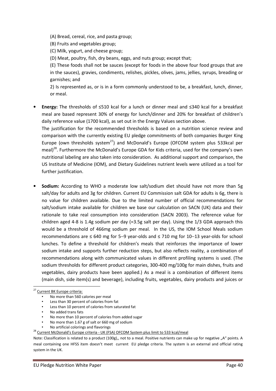(A) Bread, cereal, rice, and pasta group;

(B) Fruits and vegetables group;

(C) Milk, yogurt, and cheese group;

(D) Meat, poultry, fish, dry beans, eggs, and nuts group; except that;

(E) These foods shall not be sauces (except for foods in the above four food groups that are in the sauces), gravies, condiments, relishes, pickles, olives, jams, jellies, syrups, breading or garnishes; and

2) Is represented as, or is in a form commonly understood to be, a breakfast, lunch, dinner, or meal.

• Energy: The thresholds of ≤510 kcal for a lunch or dinner meal and ≤340 kcal for a breakfast meal are based represent 30% of energy for lunch/dinner and 20% for breakfast of children's daily reference value (1700 kcal), as set out in the Energy Values section above.

The justification for the recommended thresholds is based on a nutrition science review and comparison with the currently existing EU pledge commitments of both companies Burger King Europe (own thresholds system<sup>27</sup>) and McDonald's Europe (OFCOM system plus 533kcal per meal)<sup>28</sup>. Furthermore the McDonald's Europe GDA for Kids criteria, used for the company's own nutritional labeling are also taken into consideration. As additional support and comparison, the US Institute of Medicine (IOM), and Dietary Guidelines nutrient levels were utilized as a tool for further justification.

• Sodium: According to WHO a moderate low salt/sodium diet should have not more than 5g salt/day for adults and 3g for children. Current EU Commission salt GDA for adults is 6g, there is no value for children available. Due to the limited number of official recommendations for salt/sodium intake available for children we base our calculation on SACN (UK) data and their rationale to take real consumption into consideration (SACN 2003). The reference value for children aged 4-8 is 1.4g sodium per day (=3.5g salt per day). Using the 1/3 GDA approach this would be a threshold of 466mg sodium per meal. In the US, the IOM School Meals sodium recommendations are ≤ 640 mg for 5−9 year-olds and ≤ 710 mg for 10−13 year-olds for school lunches. To define a threshold for children's meals that reinforces the importance of lower sodium intake and supports further reduction steps, but also reflects reality, a combination of recommendations along with communicated values in different profiling systems is used. (The sodium thresholds for different product categories, 300-400 mg/100g for main dishes, fruits and vegetables, dairy products have been applied.) As a meal is a combination of different items (main dish, side item(s) and beverage), including fruits, vegetables, dairy products and juices or

 $\overline{a}$ 

• No artificial colorings and flavorings

<sup>&</sup>lt;sup>27</sup> Current BK Europe criteria:

<sup>•</sup> No more than 560 calories per meal

Less than 30 percent of calories from fat

Less than 10 percent of calories from saturated fat

<sup>•</sup> No added trans fats

<sup>•</sup> No more than 10 percent of calories from added sugar

<sup>•</sup> No more than 1.67 g of salt or 660 mg of sodium

<sup>&</sup>lt;sup>28</sup> Current McDonald's Europe criteria - UK (FSA) OFCOM System plus limit to 533 kcal/meal

Note: Classification is related to a product (100g),, not to a meal. Positive nutrients can make up for negative "A" points. A meal containing one HFSS item doesn't meet current EU pledge criteria. The system is an external and official rating system in the UK.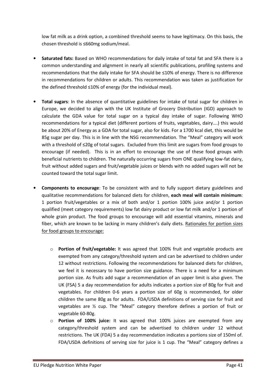low fat milk as a drink option, a combined threshold seems to have legitimacy. On this basis, the chosen threshold is ≤660mg sodium/meal.

- Saturated fats: Based on WHO recommendations for daily intake of total fat and SFA there is a common understanding and alignment in nearly all scientific publications, profiling systems and recommendations that the daily intake for SFA should be ≤10% of energy. There is no difference in recommendations for children or adults. This recommendation was taken as justification for the defined threshold ≤10% of energy (for the individual meal).
- Total sugars: In the absence of quantitative guidelines for intake of total sugar for children in Europe, we decided to align with the UK Institute of Grocery Distribution (IGD) approach to calculate the GDA value for total sugar on a typical day intake of sugar. Following WHO recommendations for a typical diet (different portions of fruits, vegetables, dairy….) this would be about 20% of Energy as a GDA for total sugar, also for kids. For a 1700 kcal diet, this would be 85g sugar per day. This is in line with the NSG recommendation. The "Meal" category will work with a threshold of ≤20g of total sugars. Excluded from this limit are sugars from food groups to encourage (if needed). This is in an effort to encourage the use of these food groups with beneficial nutrients to children. The naturally occurring sugars from ONE qualifying low-fat dairy, fruit without added sugars and fruit/vegetable juices or blends with no added sugars will not be counted toward the total sugar limit.
- Components to encourage: To be consistent with and to fully support dietary guidelines and qualitative recommendations for balanced diets for children, each meal will contain minimum: 1 portion fruit/vegetables or a mix of both and/or 1 portion 100% juice and/or 1 portion qualified (meet category requirements) low fat dairy product or low fat milk and/or 1 portion of whole grain product. The food groups to encourage will add essential vitamins, minerals and fiber, which are known to be lacking in many children's daily diets. Rationales for portion sizes for food groups to encourage:
	- o Portion of fruit/vegetable: It was agreed that 100% fruit and vegetable products are exempted from any category/threshold system and can be advertised to children under 12 without restrictions. Following the recommendations for balanced diets for children, we feel it is necessary to have portion size guidance. There is a need for a minimum portion size. As fruits add sugar a recommendation of an upper limit is also given. The UK (FSA) 5 a day recommendation for adults indicates a portion size of 80g for fruit and vegetables. For children 0-6 years a portion size of 60g is recommended, for older children the same 80g as for adults. FDA/USDA definitions of serving size for fruit and vegetables are ½ cup. The "Meal" category therefore defines a portion of fruit or vegetable 60-80g.
	- o Portion of 100% juice: It was agreed that 100% juices are exempted from any category/threshold system and can be advertised to children under 12 without restrictions. The UK (FDA) 5 a day recommendation indicates a portions size of 150ml of. FDA/USDA definitions of serving size for juice is 1 cup. The "Meal" category defines a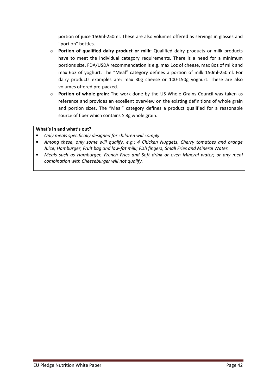portion of juice 150ml-250ml. These are also volumes offered as servings in glasses and "portion" bottles.

- $\circ$  Portion of qualified dairy product or milk: Qualified dairy products or milk products have to meet the individual category requirements. There is a need for a minimum portions size. FDA/USDA recommendation is e.g. max 1oz of cheese, max 8oz of milk and max 6oz of yoghurt. The "Meal" category defines a portion of milk 150ml-250ml. For dairy products examples are: max 30g cheese or 100-150g yoghurt. These are also volumes offered pre-packed.
- o Portion of whole grain: The work done by the US Whole Grains Council was taken as reference and provides an excellent overview on the existing definitions of whole grain and portion sizes. The "Meal" category defines a product qualified for a reasonable source of fiber which contains ≥ 8g whole grain.

- Only meals specifically designed for children will comply
- Among these, only some will qualify, e.g.: 4 Chicken Nuggets, Cherry tomatoes and orange Juice; Hamburger, Fruit bag and low-fat milk; Fish fingers, Small Fries and Mineral Water.
- Meals such as Hamburger, French Fries and Soft drink or even Mineral water; or any meal combination with Cheeseburger will not qualify.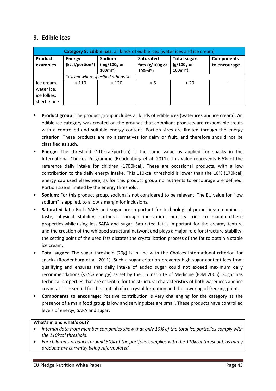## 9. Edible ices

| <b>Category 9: Edible ices:</b> all kinds of edible ices (water ices and ice cream) |                                  |                                     |                                                  |                                                |                                   |  |  |
|-------------------------------------------------------------------------------------|----------------------------------|-------------------------------------|--------------------------------------------------|------------------------------------------------|-----------------------------------|--|--|
| <b>Product</b><br>examples                                                          | <b>Energy</b><br>(kcal/portion*) | Sodium<br>$(mg/100g)$ or<br>100ml*) | <b>Saturated</b><br>fats $(g/100g$ or<br>100ml*) | <b>Total sugars</b><br>$(g/100g$ or<br>100ml*) | <b>Components</b><br>to encourage |  |  |
|                                                                                     |                                  | *except where specified otherwise   |                                                  |                                                |                                   |  |  |
| Ice cream,                                                                          | $<110$                           | < 120                               | < 5                                              | $\leq 20$                                      |                                   |  |  |
| water ice,                                                                          |                                  |                                     |                                                  |                                                |                                   |  |  |
| ice lollies,                                                                        |                                  |                                     |                                                  |                                                |                                   |  |  |
| sherbet ice                                                                         |                                  |                                     |                                                  |                                                |                                   |  |  |

- Product group: The product group includes all kinds of edible ices (water ices and ice cream). An edible ice category was created on the grounds that compliant products are responsible treats with a controlled and suitable energy content. Portion sizes are limited through the energy criterion. These products are no alternatives for dairy or fruit, and therefore should not be classified as such.
- Energy: The threshold (110kcal/portion) is the same value as applied for snacks in the International Choices Programme (Roodenburg et al. 2011). This value represents 6.5% of the reference daily intake for children (1700kcal). These are occasional products, with a low contribution to the daily energy intake. This 110kcal threshold is lower than the 10% (170kcal) energy cap used elsewhere, as for this product group no nutrients to encourage are defined. Portion size is limited by the energy threshold.
- Sodium: For this product group, sodium is not considered to be relevant. The EU value for "low sodium" is applied, to allow a margin for inclusions.
- **Saturated fats:** Both SAFA and sugar are important for technological properties: creaminess, taste, physical stability, softness. Through innovation industry tries to maintain these properties while using less SAFA and sugar. Saturated fat is important for the creamy texture and the creation of the whipped structural network and plays a major role for structure stability: the setting point of the used fats dictates the crystallization process of the fat to obtain a stable ice cream.
- Total sugars: The sugar threshold (20g) is in line with the Choices International criterion for snacks (Roodenburg et al. 2011). Such a sugar criterion prevents high sugar-content ices from qualifying and ensures that daily intake of added sugar could not exceed maximum daily recommendations (<25% energy) as set by the US Institute of Medicine (IOM 2005). Sugar has technical properties that are essential for the structural characteristics of both water ices and ice creams. It is essential for the control of ice crystal formation and the lowering of freezing point.
- Components to encourage: Positive contribution is very challenging for the category as the presence of a main food group is low and serving sizes are small. These products have controlled levels of energy, SAFA and sugar.

- Internal data from member companies show that only 10% of the total ice portfolios comply with the 110kcal threshold.
- For children's products around 50% of the portfolio complies with the 110kcal threshold, as many products are currently being reformulated.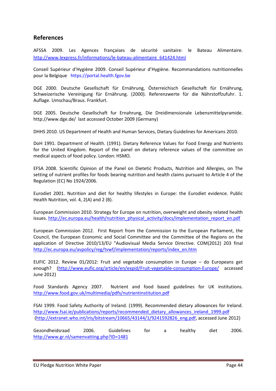## References

AFSSA 2009. Les Agences françaises de sécurité sanitaire: le Bateau Alimentaire. http://www.lexpress.fr/informations/le-bateau-alimentaire\_641424.html

Conseil Supérieur d'Hygiène 2009. Conseil Supérieur d'Hygiène. Recommandations nutritionnelles pour la Belgique https://portal.health.fgov.be

DGE 2000. Deutsche Gesellschaft für Ernährung, Österreichisch Gesellschaft für Ernährung, Schweizerische Vereinigung für Ernährung. (2000). Referenzwerte für die Nährstoffzufuhr. 1. Auflage. Umschau/Braus. Frankfurt.

DGE 2005. Deutsche Gesellschaft fur Ernahrung, Die Dreidimensionale Lebensmittelpyramide. http://www.dge.de/ last accessed October 2009 (Germany)

DHHS 2010. US Department of Health and Human Services, Dietary Guidelines for Americans 2010.

DoH 1991. Department of Health. (1991). Dietary Reference Values for Food Energy and Nutrients for the United Kingdom. Report of the panel on dietary reference values of the committee on medical aspects of food policy. London: HSMO.

EFSA 2008. Scientific Opinion of the Panel on Dietetic Products, Nutrition and Allergies, on The setting of nutrient profiles for foods bearing nutrition and health claims pursuant to Article 4 of the Regulation (EC) No 1924/2006.

Eurodiet 2001. Nutrition and diet for healthy lifestyles in Europe: the Eurodiet evidence. Public Health Nutrition, vol. 4, 2(A) and 2 (B).

European Commission 2010. Strategy for Europe on nutrition, overweight and obesity related health issues. http://ec.europa.eu/health/nutrition\_physical\_activity/docs/implementation\_report\_en.pdf

European Commission 2012. First Report from the Commission to the European Parliament, the Council, the European Economic and Social Committee and the Committee of the Regions on the application of Directive 2010/13/EU "Audiovisual Media Service Directive. COM(2012) 203 final http://ec.europa.eu/avpolicy/reg/tvwf/implementation/reports/index\_en.htm

EUFIC 2012. Review 01/2012: Fruit and vegetable consumption in Europe – do Europeans get enough? (http://www.eufic.org/article/en/expid/Fruit-vegetable-consumption-Europe/ accessed June 2012)

Food Standards Agency 2007. Nutrient and food based guidelines for UK institutions. http://www.food.gov.uk/multimedia/pdfs/nutrientinstitution.pdf

FSAI 1999. Food Safety Authority of Ireland. (1999). Recommended dietary allowances for Ireland. http://www.fsai.ie/publications/reports/recommended\_dietary\_allowances\_ireland\_1999.pdf (http://extranet.who.int/iris/bitstream/10665/43144/1/9241592826\_eng.pdf, accessed June 2012)

Gezondheidsraad 2006. Guidelines for a healthy diet 2006. http://www.gr.nl/samenvatting.php?ID=1481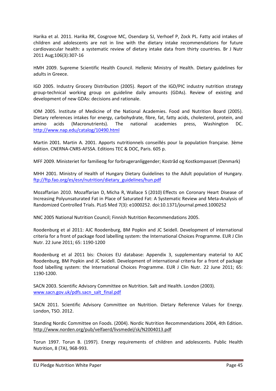Harika et al. 2011. Harika RK, Cosgrove MC, Osendarp SJ, Verhoef P, Zock PL. Fatty acid intakes of children and adolescents are not in line with the dietary intake recommendations for future cardiovascular health: a systematic review of dietary intake data from thirty countries. Br J Nutr 2011 Aug;106(3):307-16

HMH 2009. Supreme Scientific Health Council. Hellenic Ministry of Health. Dietary guidelines for adults in Greece.

IGD 2005. Industry Grocery Distribution (2005). Report of the IGD/PIC industry nutrition strategy group-technical working group on guideline daily amounts (GDAs). Review of existing and development of new GDAs: decisions and rationale.

IOM 2005. Institute of Medicine of the National Academies. Food and Nutrition Board (2005). Dietary references intakes for energy, carbohydrate, fibre, fat, fatty acids, cholesterol, protein, and amino acids (Macronutrients). The national academies press, Washington DC. http://www.nap.edu/catalog/10490.html

Martin 2001. Martin A. 2001. Apports nutritionnels conseillés pour la population française. 3ème édition. CNERNA-CNRS-AFSSA. Editions TEC & DOC, Paris. 605 p.

MFF 2009. Ministeriet for familieog for forbrugeranliggender; Kostråd og Kostkompasset (Denmark)

MHH 2001. Ministry of Health of Hungary Dietary Guidelines to the Adult population of Hungary. ftp://ftp.fao.org/es/esn/nutrition/dietary\_guidelines/hun.pdf

Mozaffarian 2010. Mozaffarian D, Micha R, Wallace S (2010) Effects on Coronary Heart Disease of Increasing Polyunsaturated Fat in Place of Saturated Fat: A Systematic Review and Meta-Analysis of Randomized Controlled Trials. PLoS Med 7(3): e1000252. doi:10.1371/journal.pmed.1000252

NNC 2005 National Nutrition Council; Finnish Nutrition Recommendations 2005.

Roodenburg et al 2011: AJC Roodenburg, BM Popkin and JC Seidell. Development of international criteria for a front of package food labelling system: the International Choices Programme. EUR J Clin Nutr. 22 June 2011; 65: 1190-1200

Roodenburg et al 2011 bis: Choices EU database: Appendix 3, supplementary material to AJC Roodenburg, BM Popkin and JC Seidell. Development of international criteria for a front of package food labelling system: the International Choices Programme. EUR J Clin Nutr. 22 June 2011; 65: 1190-1200.

SACN 2003. Scientific Advisory Committee on Nutrition. Salt and Health. London (2003). www.sacn.gov.uk/pdfs.sacn\_salt\_final.pdf

SACN 2011. Scientific Advisory Committee on Nutrition. Dietary Reference Values for Energy. London, TSO. 2012.

Standing Nordic Committee on Foods. (2004). Nordic Nutrition Recommendations 2004, 4th Edition. http://www.norden.org/pub/velfaerd/livsmedel/sk/N2004013.pdf

Torun 1997. Torun B. (1997). Energy requirements of children and adolescents. Public Health Nutrition, 8 (7A), 968-993.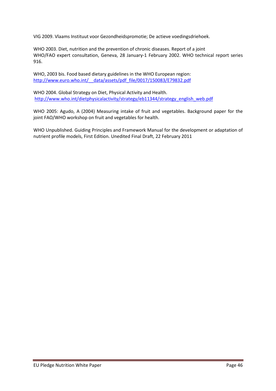VIG 2009. Vlaams Instituut voor Gezondheidspromotie; De actieve voedingsdriehoek.

WHO 2003. Diet, nutrition and the prevention of chronic diseases. Report of a joint WHO/FAO expert consultation, Geneva, 28 January-1 February 2002. WHO technical report series 916.

WHO, 2003 bis. Food based dietary guidelines in the WHO European region: http://www.euro.who.int/\_\_data/assets/pdf\_file/0017/150083/E79832.pdf

WHO 2004. Global Strategy on Diet, Physical Activity and Health. http://www.who.int/dietphysicalactivity/strategy/eb11344/strategy\_english\_web.pdf

WHO 2005: Agudo, A (2004) Measuring intake of fruit and vegetables. Background paper for the joint FAO/WHO workshop on fruit and vegetables for health.

WHO Unpublished. Guiding Principles and Framework Manual for the development or adaptation of nutrient profile models, First Edition. Unedited Final Draft, 22 February 2011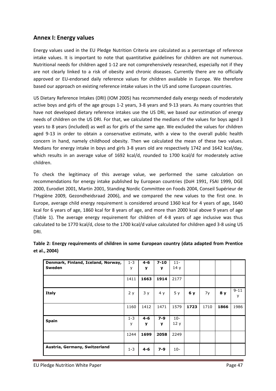## Annex I: Energy values

Energy values used in the EU Pledge Nutrition Criteria are calculated as a percentage of reference intake values. It is important to note that quantitative guidelines for children are not numerous. Nutritional needs for children aged 1-12 are not comprehensively researched, especially not if they are not clearly linked to a risk of obesity and chronic diseases. Currently there are no officially approved or EU-endorsed daily reference values for children available in Europe. We therefore based our approach on existing reference intake values in the US and some European countries.

US Dietary Reference Intakes (DRI) (IOM 2005) has recommended daily energy needs of moderately active boys and girls of the age groups 1-2 years, 3-8 years and 9-13 years. As many countries that have not developed dietary reference intakes use the US DRI, we based our estimation of energy needs of children on the US DRI. For that, we calculated the medians of the values for boys aged 3 years to 8 years (included) as well as for girls of the same age. We excluded the values for children aged 9-13 in order to obtain a conservative estimate, with a view to the overall public health concern in hand, namely childhood obesity. Then we calculated the mean of these two values. Medians for energy intake in boys and girls 3-8 years old are respectively 1742 and 1642 kcal/day, which results in an average value of 1692 kcal/d, rounded to 1700 kcal/d for moderately active children.

To check the legitimacy of this average value, we performed the same calculation on recommendations for energy intake published by European countries (DoH 1991, FSAI 1999, DGE 2000, Eurodiet 2001, Martin 2001, Standing Nordic Committee on Foods 2004, Conseil Supérieur de l'Hygiène 2009, Gezondheidsraad 2006), and we compared the new values to the first one. In Europe, average child energy requirement is considered around 1360 kcal for 4 years of age, 1640 kcal for 6 years of age, 1860 kcal for 8 years of age, and more than 2000 kcal above 9 years of age (Table 1). The average energy requirement for children of 4-8 years of age inclusive was thus calculated to be 1770 kcal/d, close to the 1700 kcal/d value calculated for children aged 3-8 using US DRI.

| Denmark, Finland, Iceland, Norway, | $1 - 3$ | $4 - 6$ | $7 - 10$ | $11 -$ |      |      |      |          |
|------------------------------------|---------|---------|----------|--------|------|------|------|----------|
| Sweden                             | y       | y       | y        | 14y    |      |      |      |          |
|                                    |         |         |          |        |      |      |      |          |
|                                    | 1411    | 1663    | 1914     | 2177   |      |      |      |          |
|                                    |         |         |          |        |      |      |      |          |
| <b>Italy</b>                       | 2y      | 3y      | 4y       | 5y     | 6 y  | 7y   | 8 y  | $9 - 11$ |
|                                    |         |         |          |        |      |      |      | У        |
|                                    |         |         |          |        |      |      |      |          |
|                                    | 1160    | 1412    | 1471     | 1579   | 1723 | 1710 | 1866 | 1986     |
|                                    |         |         |          |        |      |      |      |          |
| <b>Spain</b>                       | $1 - 3$ | $4 - 6$ | 7-9      | $10 -$ |      |      |      |          |
|                                    | У       | y       | y        | 12y    |      |      |      |          |
|                                    |         |         |          |        |      |      |      |          |
|                                    | 1244    | 1699    | 2058     | 2249   |      |      |      |          |
|                                    |         |         |          |        |      |      |      |          |
| Austria, Germany, Switzerland      |         |         |          |        |      |      |      |          |
|                                    | $1 - 3$ | $4 - 6$ | $7 - 9$  | $10-$  |      |      |      |          |

| Table 2: Energy requirements of children in some European country (data adapted from Prentice |  |  |
|-----------------------------------------------------------------------------------------------|--|--|
| et al., 2004)                                                                                 |  |  |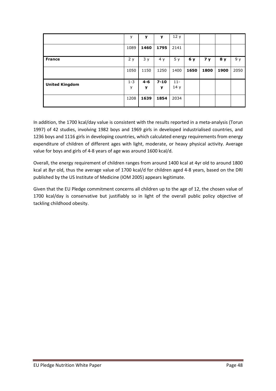|                       | у            | у            | y             | 12y           |      |                |                |      |
|-----------------------|--------------|--------------|---------------|---------------|------|----------------|----------------|------|
|                       | 1089         | 1460         | 1795          | 2141          |      |                |                |      |
| <b>France</b>         | 2y           | 3y           | 4 y           | 5y            | 6 y  | 7 <sub>y</sub> | 8 <sub>y</sub> | 9 y  |
|                       | 1050         | 1150         | 1250          | 1400          | 1650 | 1800           | 1900           | 2050 |
| <b>United Kingdom</b> | $1 - 3$<br>у | $4 - 6$<br>у | $7 - 10$<br>v | $11 -$<br>14y |      |                |                |      |
|                       | 1208         | 1639         | 1854          | 2034          |      |                |                |      |

In addition, the 1700 kcal/day value is consistent with the results reported in a meta-analysis (Torun 1997) of 42 studies, involving 1982 boys and 1969 girls in developed industrialised countries, and 1236 boys and 1116 girls in developing countries, which calculated energy requirements from energy expenditure of children of different ages with light, moderate, or heavy physical activity. Average value for boys and girls of 4-8 years of age was around 1600 kcal/d.

Overall, the energy requirement of children ranges from around 1400 kcal at 4yr old to around 1800 kcal at 8yr old, thus the average value of 1700 kcal/d for children aged 4-8 years, based on the DRI published by the US Institute of Medicine (IOM 2005) appears legitimate.

Given that the EU Pledge commitment concerns all children up to the age of 12, the chosen value of 1700 kcal/day is conservative but justifiably so in light of the overall public policy objective of tackling childhood obesity.